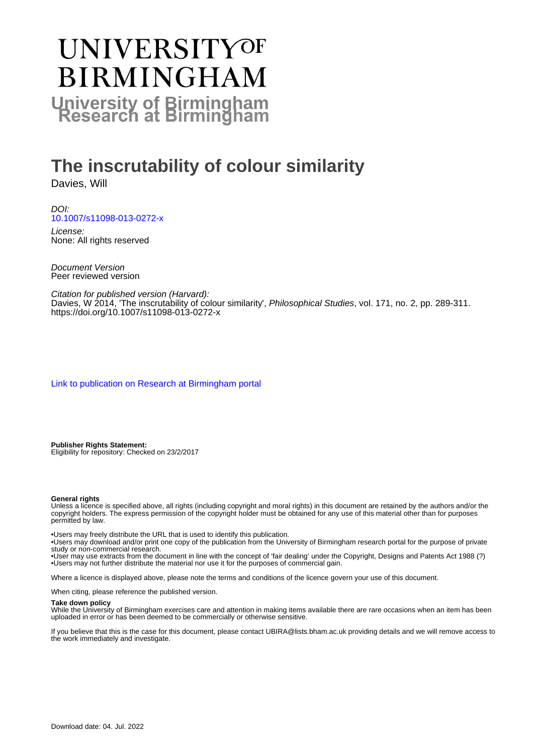# **UNIVERSITYOF BIRMINGHAM University of Birmingham**

## **The inscrutability of colour similarity**

Davies, Will

DOI: [10.1007/s11098-013-0272-x](https://doi.org/10.1007/s11098-013-0272-x)

License: None: All rights reserved

Document Version Peer reviewed version

Citation for published version (Harvard): Davies, W 2014, 'The inscrutability of colour similarity', Philosophical Studies, vol. 171, no. 2, pp. 289-311. <https://doi.org/10.1007/s11098-013-0272-x>

[Link to publication on Research at Birmingham portal](https://birmingham.elsevierpure.com/en/publications/304c075f-2fa2-4e41-84ae-c7e6d3dfe518)

**Publisher Rights Statement:** Eligibility for repository: Checked on 23/2/2017

#### **General rights**

Unless a licence is specified above, all rights (including copyright and moral rights) in this document are retained by the authors and/or the copyright holders. The express permission of the copyright holder must be obtained for any use of this material other than for purposes permitted by law.

• Users may freely distribute the URL that is used to identify this publication.

• Users may download and/or print one copy of the publication from the University of Birmingham research portal for the purpose of private study or non-commercial research.

• User may use extracts from the document in line with the concept of 'fair dealing' under the Copyright, Designs and Patents Act 1988 (?) • Users may not further distribute the material nor use it for the purposes of commercial gain.

Where a licence is displayed above, please note the terms and conditions of the licence govern your use of this document.

When citing, please reference the published version.

#### **Take down policy**

While the University of Birmingham exercises care and attention in making items available there are rare occasions when an item has been uploaded in error or has been deemed to be commercially or otherwise sensitive.

If you believe that this is the case for this document, please contact UBIRA@lists.bham.ac.uk providing details and we will remove access to the work immediately and investigate.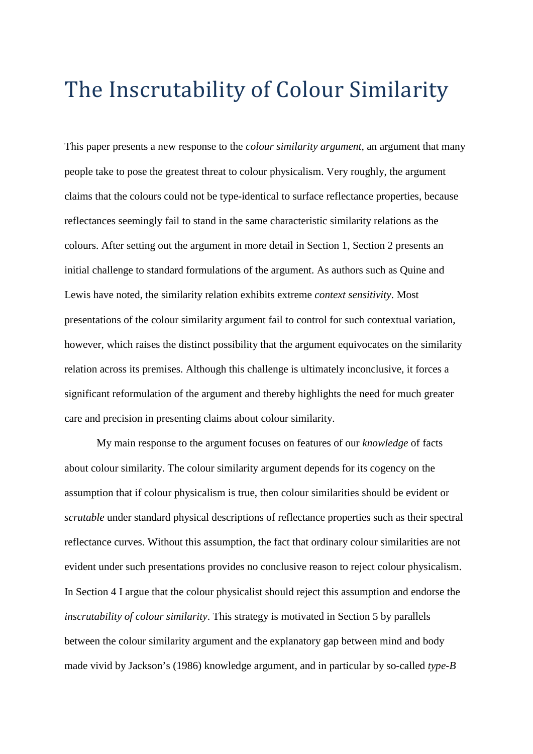# The Inscrutability of Colour Similarity

This paper presents a new response to the *colour similarity argument*, an argument that many people take to pose the greatest threat to colour physicalism. Very roughly, the argument claims that the colours could not be type-identical to surface reflectance properties, because reflectances seemingly fail to stand in the same characteristic similarity relations as the colours. After setting out the argument in more detail in Section 1, Section 2 presents an initial challenge to standard formulations of the argument. As authors such as Quine and Lewis have noted, the similarity relation exhibits extreme *context sensitivity*. Most presentations of the colour similarity argument fail to control for such contextual variation, however, which raises the distinct possibility that the argument equivocates on the similarity relation across its premises. Although this challenge is ultimately inconclusive, it forces a significant reformulation of the argument and thereby highlights the need for much greater care and precision in presenting claims about colour similarity.

My main response to the argument focuses on features of our *knowledge* of facts about colour similarity. The colour similarity argument depends for its cogency on the assumption that if colour physicalism is true, then colour similarities should be evident or *scrutable* under standard physical descriptions of reflectance properties such as their spectral reflectance curves. Without this assumption, the fact that ordinary colour similarities are not evident under such presentations provides no conclusive reason to reject colour physicalism. In Section 4 I argue that the colour physicalist should reject this assumption and endorse the *inscrutability of colour similarity*. This strategy is motivated in Section 5 by parallels between the colour similarity argument and the explanatory gap between mind and body made vivid by Jackson's (1986) knowledge argument, and in particular by so-called *type-B*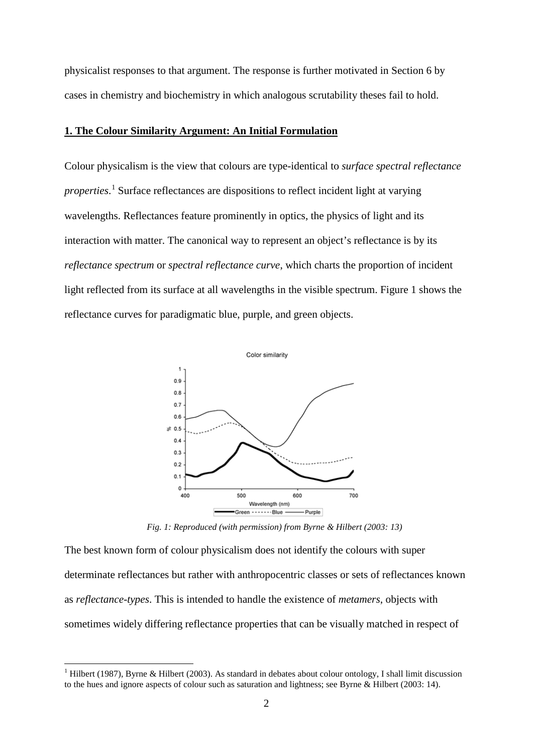physicalist responses to that argument. The response is further motivated in Section 6 by cases in chemistry and biochemistry in which analogous scrutability theses fail to hold.

#### **1. The Colour Similarity Argument: An Initial Formulation**

Colour physicalism is the view that colours are type-identical to *surface spectral reflectance properties*. [1](#page-2-0) Surface reflectances are dispositions to reflect incident light at varying wavelengths. Reflectances feature prominently in optics, the physics of light and its interaction with matter. The canonical way to represent an object's reflectance is by its *reflectance spectrum* or *spectral reflectance curve*, which charts the proportion of incident light reflected from its surface at all wavelengths in the visible spectrum. Figure 1 shows the reflectance curves for paradigmatic blue, purple, and green objects.



*Fig. 1: Reproduced (with permission) from Byrne & Hilbert (2003: 13)*

The best known form of colour physicalism does not identify the colours with super determinate reflectances but rather with anthropocentric classes or sets of reflectances known as *reflectance-types*. This is intended to handle the existence of *metamers*, objects with sometimes widely differing reflectance properties that can be visually matched in respect of

<u>.</u>

<span id="page-2-0"></span><sup>&</sup>lt;sup>1</sup> Hilbert (1987), Byrne & Hilbert (2003). As standard in debates about colour ontology, I shall limit discussion to the hues and ignore aspects of colour such as saturation and lightness; see Byrne & Hilbert (2003: 14).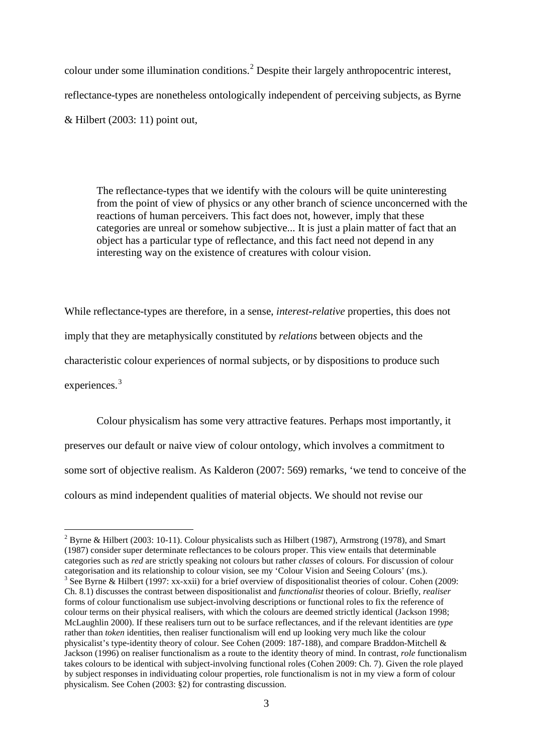colour under some illumination conditions. [2](#page-3-0) Despite their largely anthropocentric interest, reflectance-types are nonetheless ontologically independent of perceiving subjects, as Byrne & Hilbert (2003: 11) point out,

The reflectance-types that we identify with the colours will be quite uninteresting from the point of view of physics or any other branch of science unconcerned with the reactions of human perceivers. This fact does not, however, imply that these categories are unreal or somehow subjective... It is just a plain matter of fact that an object has a particular type of reflectance, and this fact need not depend in any interesting way on the existence of creatures with colour vision.

While reflectance-types are therefore, in a sense, *interest-relative* properties, this does not imply that they are metaphysically constituted by *relations* between objects and the characteristic colour experiences of normal subjects, or by dispositions to produce such experiences.<sup>[3](#page-3-1)</sup>

Colour physicalism has some very attractive features. Perhaps most importantly, it preserves our default or naive view of colour ontology, which involves a commitment to some sort of objective realism. As Kalderon (2007: 569) remarks, 'we tend to conceive of the colours as mind independent qualities of material objects. We should not revise our

<span id="page-3-1"></span><span id="page-3-0"></span><sup>&</sup>lt;sup>2</sup> Byrne & Hilbert (2003: 10-11). Colour physicalists such as Hilbert (1987), Armstrong (1978), and Smart (1987) consider super determinate reflectances to be colours proper. This view entails that determinable categories such as *red* are strictly speaking not colours but rather *classes* of colours. For discussion of colour <sup>3</sup> See Byrne & Hilbert (1997: xx-xxii) for a brief overview of dispositionalist theories of colour. Cohen (2009: Ch. 8.1) discusses the contrast between dispositionalist and *functionalist* theories of colour. Briefly, *realiser* forms of colour functionalism use subject-involving descriptions or functional roles to fix the reference of colour terms on their physical realisers, with which the colours are deemed strictly identical (Jackson 1998; McLaughlin 2000). If these realisers turn out to be surface reflectances, and if the relevant identities are *type* rather than *token* identities, then realiser functionalism will end up looking very much like the colour physicalist's type-identity theory of colour. See Cohen (2009: 187-188), and compare Braddon-Mitchell & Jackson (1996) on realiser functionalism as a route to the identity theory of mind. In contrast, *role* functionalism takes colours to be identical with subject-involving functional roles (Cohen 2009: Ch. 7). Given the role played by subject responses in individuating colour properties, role functionalism is not in my view a form of colour physicalism. See Cohen (2003: §2) for contrasting discussion.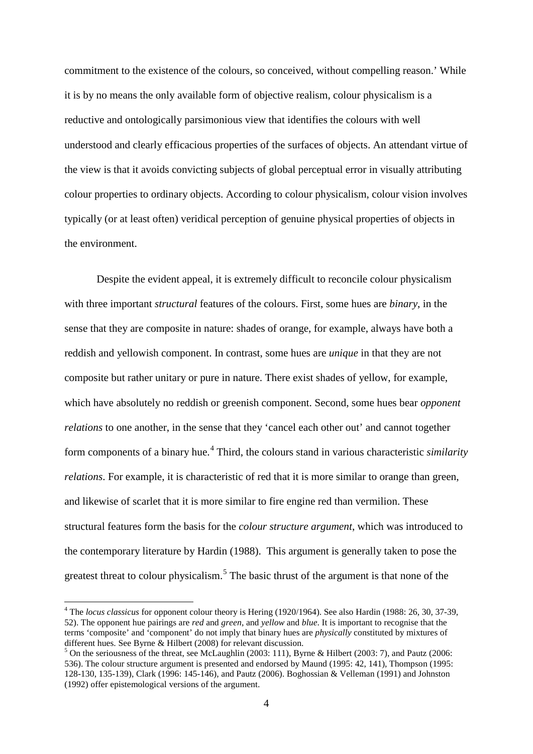commitment to the existence of the colours, so conceived, without compelling reason.' While it is by no means the only available form of objective realism, colour physicalism is a reductive and ontologically parsimonious view that identifies the colours with well understood and clearly efficacious properties of the surfaces of objects. An attendant virtue of the view is that it avoids convicting subjects of global perceptual error in visually attributing colour properties to ordinary objects. According to colour physicalism, colour vision involves typically (or at least often) veridical perception of genuine physical properties of objects in the environment.

Despite the evident appeal, it is extremely difficult to reconcile colour physicalism with three important *structural* features of the colours. First, some hues are *binary*, in the sense that they are composite in nature: shades of orange, for example, always have both a reddish and yellowish component. In contrast, some hues are *unique* in that they are not composite but rather unitary or pure in nature. There exist shades of yellow, for example, which have absolutely no reddish or greenish component. Second, some hues bear *opponent relations* to one another, in the sense that they 'cancel each other out' and cannot together form components of a binary hue.[4](#page-4-0) Third, the colours stand in various characteristic *similarity relations*. For example, it is characteristic of red that it is more similar to orange than green, and likewise of scarlet that it is more similar to fire engine red than vermilion. These structural features form the basis for the *colour structure argument*, which was introduced to the contemporary literature by Hardin (1988). This argument is generally taken to pose the greatest threat to colour physicalism.<sup>[5](#page-4-1)</sup> The basic thrust of the argument is that none of the

<u>.</u>

<span id="page-4-0"></span><sup>4</sup> The *locus classicus* for opponent colour theory is Hering (1920/1964). See also Hardin (1988: 26, 30, 37-39, 52). The opponent hue pairings are *red* and *green*, and *yellow* and *blue*. It is important to recognise that the terms 'composite' and 'component' do not imply that binary hues are *physically* constituted by mixtures of different hues. See Byrne & Hilbert (2008) for relevant discussion.

<span id="page-4-1"></span> $<sup>5</sup>$  On the seriousness of the threat, see McLaughlin (2003: 111), Byrne & Hilbert (2003: 7), and Pautz (2006:</sup> 536). The colour structure argument is presented and endorsed by Maund (1995: 42, 141), Thompson (1995: 128-130, 135-139), Clark (1996: 145-146), and Pautz (2006). Boghossian & Velleman (1991) and Johnston (1992) offer epistemological versions of the argument.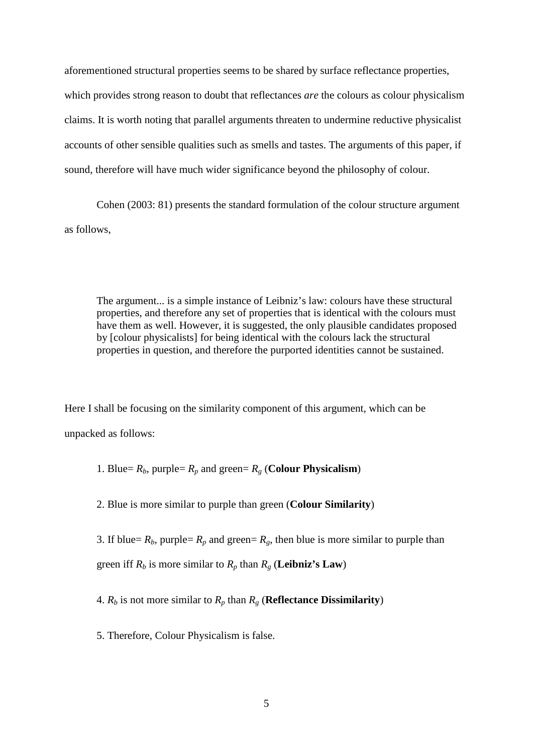aforementioned structural properties seems to be shared by surface reflectance properties, which provides strong reason to doubt that reflectances *are* the colours as colour physicalism claims. It is worth noting that parallel arguments threaten to undermine reductive physicalist accounts of other sensible qualities such as smells and tastes. The arguments of this paper, if sound, therefore will have much wider significance beyond the philosophy of colour.

Cohen (2003: 81) presents the standard formulation of the colour structure argument as follows,

The argument... is a simple instance of Leibniz's law: colours have these structural properties, and therefore any set of properties that is identical with the colours must have them as well. However, it is suggested, the only plausible candidates proposed by [colour physicalists] for being identical with the colours lack the structural properties in question, and therefore the purported identities cannot be sustained.

Here I shall be focusing on the similarity component of this argument, which can be unpacked as follows:

1. Blue=  $R_b$ , purple=  $R_p$  and green=  $R_g$  (**Colour Physicalism**)

2. Blue is more similar to purple than green (**Colour Similarity**)

3. If blue=  $R_b$ , purple=  $R_p$  and green=  $R_g$ , then blue is more similar to purple than green iff  $R_b$  is more similar to  $R_p$  than  $R_g$  (**Leibniz's Law**)

4.  $R_b$  is not more similar to  $R_p$  than  $R_g$  (**Reflectance Dissimilarity**)

5. Therefore, Colour Physicalism is false.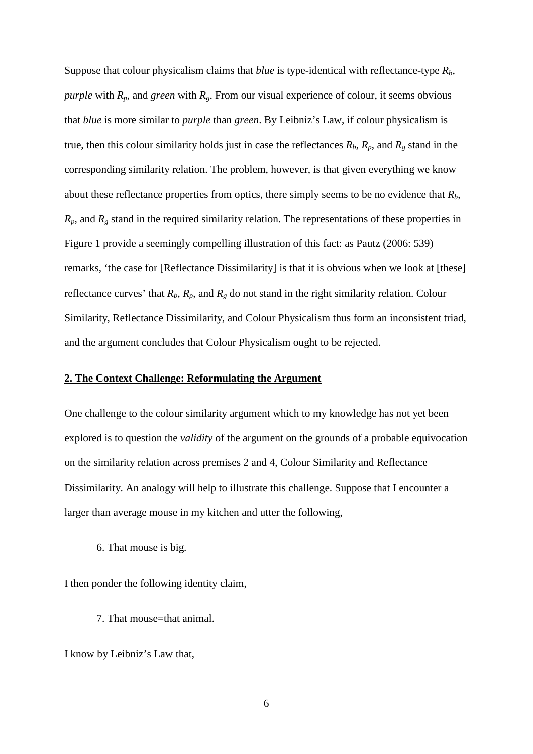Suppose that colour physicalism claims that *blue* is type-identical with reflectance-type *Rb*, *purple* with  $R_p$ , and *green* with  $R_g$ . From our visual experience of colour, it seems obvious that *blue* is more similar to *purple* than *green*. By Leibniz's Law, if colour physicalism is true, then this colour similarity holds just in case the reflectances  $R_b$ ,  $R_p$ , and  $R_g$  stand in the corresponding similarity relation. The problem, however, is that given everything we know about these reflectance properties from optics, there simply seems to be no evidence that  $R_b$ ,  $R_p$ , and  $R_g$  stand in the required similarity relation. The representations of these properties in Figure 1 provide a seemingly compelling illustration of this fact: as Pautz (2006: 539) remarks, 'the case for [Reflectance Dissimilarity] is that it is obvious when we look at [these] reflectance curves' that  $R_b$ ,  $R_p$ , and  $R_g$  do not stand in the right similarity relation. Colour Similarity, Reflectance Dissimilarity, and Colour Physicalism thus form an inconsistent triad, and the argument concludes that Colour Physicalism ought to be rejected.

### **2. The Context Challenge: Reformulating the Argument**

One challenge to the colour similarity argument which to my knowledge has not yet been explored is to question the *validity* of the argument on the grounds of a probable equivocation on the similarity relation across premises 2 and 4, Colour Similarity and Reflectance Dissimilarity. An analogy will help to illustrate this challenge. Suppose that I encounter a larger than average mouse in my kitchen and utter the following,

6. That mouse is big.

I then ponder the following identity claim,

7. That mouse=that animal.

I know by Leibniz's Law that,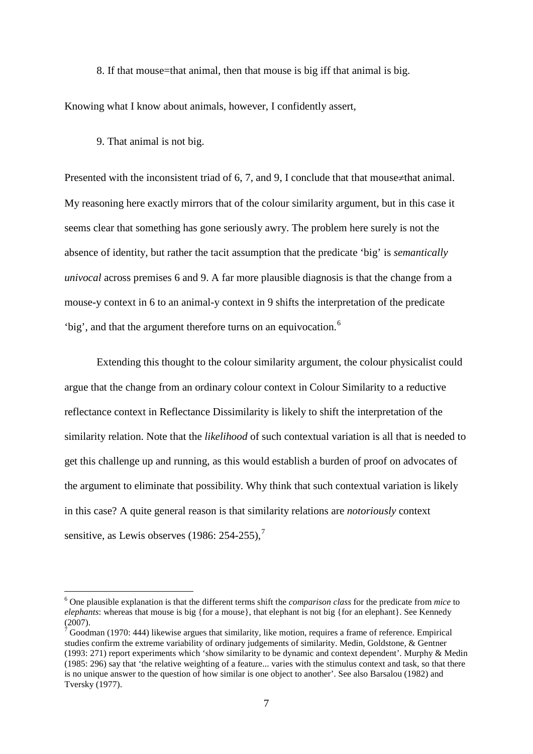8. If that mouse=that animal, then that mouse is big iff that animal is big.

Knowing what I know about animals, however, I confidently assert,

9. That animal is not big.

-

Presented with the inconsistent triad of 6, 7, and 9, I conclude that that mouse≠that animal. My reasoning here exactly mirrors that of the colour similarity argument, but in this case it seems clear that something has gone seriously awry. The problem here surely is not the absence of identity, but rather the tacit assumption that the predicate 'big' is *semantically univocal* across premises 6 and 9. A far more plausible diagnosis is that the change from a mouse-y context in 6 to an animal-y context in 9 shifts the interpretation of the predicate 'big', and that the argument therefore turns on an equivocation.<sup>[6](#page-7-0)</sup>

Extending this thought to the colour similarity argument, the colour physicalist could argue that the change from an ordinary colour context in Colour Similarity to a reductive reflectance context in Reflectance Dissimilarity is likely to shift the interpretation of the similarity relation. Note that the *likelihood* of such contextual variation is all that is needed to get this challenge up and running, as this would establish a burden of proof on advocates of the argument to eliminate that possibility. Why think that such contextual variation is likely in this case? A quite general reason is that similarity relations are *notoriously* context sensitive, as Lewis observes (1986: 254-255).<sup>[7](#page-7-1)</sup>

<span id="page-7-0"></span><sup>6</sup> One plausible explanation is that the different terms shift the *comparison class* for the predicate from *mice* to *elephants*: whereas that mouse is big {for a mouse}, that elephant is not big {for an elephant}. See Kennedy (2007).

<span id="page-7-1"></span><sup>7</sup> Goodman (1970: 444) likewise argues that similarity, like motion, requires a frame of reference. Empirical studies confirm the extreme variability of ordinary judgements of similarity. Medin, Goldstone, & Gentner (1993: 271) report experiments which 'show similarity to be dynamic and context dependent'. Murphy & Medin (1985: 296) say that 'the relative weighting of a feature... varies with the stimulus context and task, so that there is no unique answer to the question of how similar is one object to another'. See also Barsalou (1982) and Tversky (1977).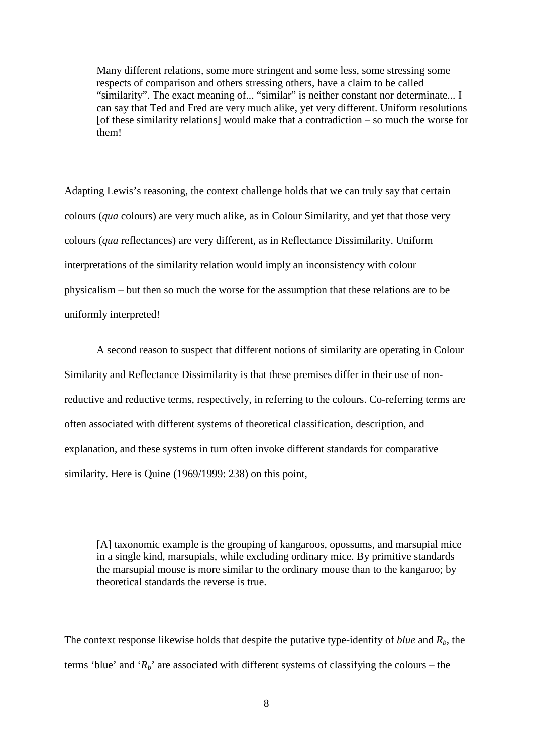Many different relations, some more stringent and some less, some stressing some respects of comparison and others stressing others, have a claim to be called "similarity". The exact meaning of... "similar" is neither constant nor determinate... I can say that Ted and Fred are very much alike, yet very different. Uniform resolutions  $[of these similarity relations]$  would make that a contradiction – so much the worse for them!

Adapting Lewis's reasoning, the context challenge holds that we can truly say that certain colours (*qua* colours) are very much alike, as in Colour Similarity, and yet that those very colours (*qua* reflectances) are very different, as in Reflectance Dissimilarity. Uniform interpretations of the similarity relation would imply an inconsistency with colour physicalism – but then so much the worse for the assumption that these relations are to be uniformly interpreted!

A second reason to suspect that different notions of similarity are operating in Colour Similarity and Reflectance Dissimilarity is that these premises differ in their use of nonreductive and reductive terms, respectively, in referring to the colours. Co-referring terms are often associated with different systems of theoretical classification, description, and explanation, and these systems in turn often invoke different standards for comparative similarity. Here is Quine (1969/1999: 238) on this point,

[A] taxonomic example is the grouping of kangaroos, opossums, and marsupial mice in a single kind, marsupials, while excluding ordinary mice. By primitive standards the marsupial mouse is more similar to the ordinary mouse than to the kangaroo; by theoretical standards the reverse is true.

The context response likewise holds that despite the putative type-identity of *blue* and *Rb*, the terms 'blue' and ' $R_b$ ' are associated with different systems of classifying the colours – the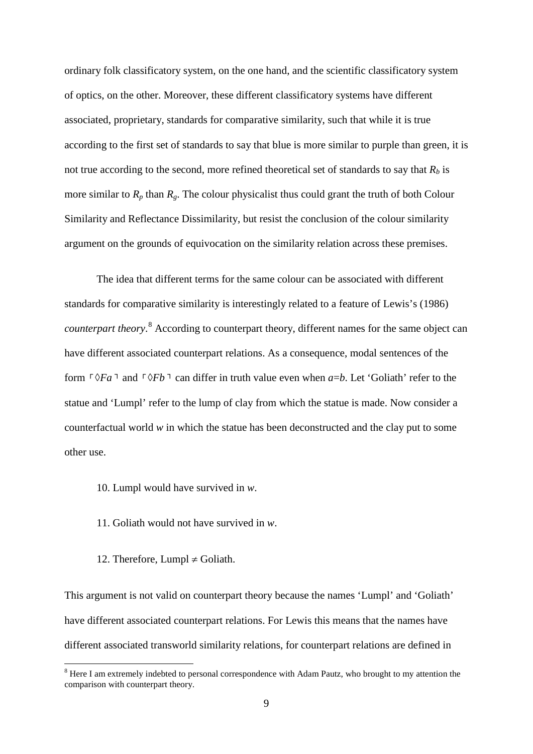ordinary folk classificatory system, on the one hand, and the scientific classificatory system of optics, on the other. Moreover, these different classificatory systems have different associated, proprietary, standards for comparative similarity, such that while it is true according to the first set of standards to say that blue is more similar to purple than green, it is not true according to the second, more refined theoretical set of standards to say that  $R_b$  is more similar to  $R_p$  than  $R_g$ . The colour physicalist thus could grant the truth of both Colour Similarity and Reflectance Dissimilarity, but resist the conclusion of the colour similarity argument on the grounds of equivocation on the similarity relation across these premises.

The idea that different terms for the same colour can be associated with different standards for comparative similarity is interestingly related to a feature of Lewis's (1986) *counterpart theory*. [8](#page-9-0) According to counterpart theory, different names for the same object can have different associated counterpart relations. As a consequence, modal sentences of the form  $\lceil \sqrt[6]{Fa} \rceil$  and  $\lceil \sqrt[6]{Fb} \rceil$  can differ in truth value even when *a=b*. Let 'Goliath' refer to the statue and 'Lumpl' refer to the lump of clay from which the statue is made. Now consider a counterfactual world *w* in which the statue has been deconstructed and the clay put to some other use.

- 10. Lumpl would have survived in *w*.
- 11. Goliath would not have survived in *w*.
- 12. Therefore, Lumpl  $\neq$  Goliath.

<u>.</u>

This argument is not valid on counterpart theory because the names 'Lumpl' and 'Goliath' have different associated counterpart relations. For Lewis this means that the names have different associated transworld similarity relations, for counterpart relations are defined in

<span id="page-9-0"></span><sup>&</sup>lt;sup>8</sup> Here I am extremely indebted to personal correspondence with Adam Pautz, who brought to my attention the comparison with counterpart theory.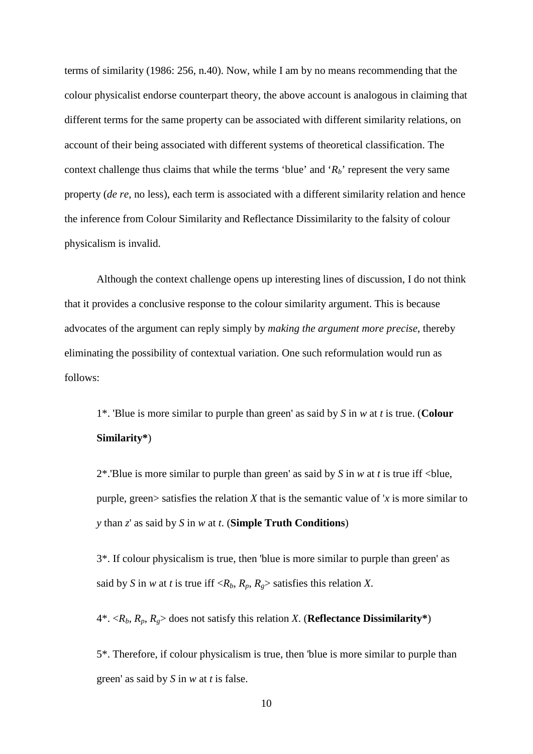terms of similarity (1986: 256, n.40). Now, while I am by no means recommending that the colour physicalist endorse counterpart theory, the above account is analogous in claiming that different terms for the same property can be associated with different similarity relations, on account of their being associated with different systems of theoretical classification. The context challenge thus claims that while the terms 'blue' and ' $R_b$ ' represent the very same property (*de re*, no less), each term is associated with a different similarity relation and hence the inference from Colour Similarity and Reflectance Dissimilarity to the falsity of colour physicalism is invalid.

Although the context challenge opens up interesting lines of discussion, I do not think that it provides a conclusive response to the colour similarity argument. This is because advocates of the argument can reply simply by *making the argument more precise*, thereby eliminating the possibility of contextual variation. One such reformulation would run as follows:

1\*. 'Blue is more similar to purple than green' as said by *S* in *w* at *t* is true. (**Colour Similarity\***)

2\*.'Blue is more similar to purple than green' as said by *S* in *w* at *t* is true iff <blue, purple, green> satisfies the relation *X* that is the semantic value of '*x* is more similar to *y* than *z*' as said by *S* in *w* at *t*. (**Simple Truth Conditions**)

3\*. If colour physicalism is true, then 'blue is more similar to purple than green' as said by *S* in *w* at *t* is true iff  $\langle R_b, R_p, R_g \rangle$  satisfies this relation *X*.

 $4^*$ .  $\langle R_b, R_p, R_g \rangle$  does not satisfy this relation *X*. (**Reflectance Dissimilarity**\*)

5\*. Therefore, if colour physicalism is true, then 'blue is more similar to purple than green' as said by *S* in *w* at *t* is false.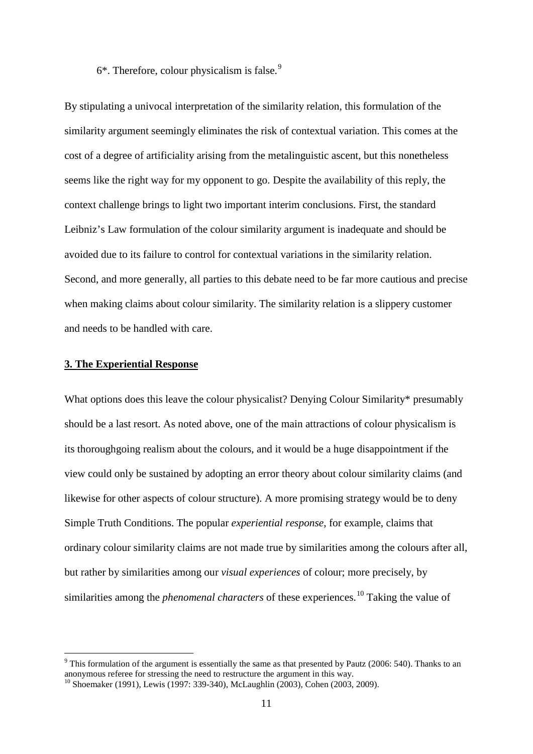$6*$ . Therefore, colour physicalism is false.<sup>[9](#page-11-0)</sup>

By stipulating a univocal interpretation of the similarity relation, this formulation of the similarity argument seemingly eliminates the risk of contextual variation. This comes at the cost of a degree of artificiality arising from the metalinguistic ascent, but this nonetheless seems like the right way for my opponent to go. Despite the availability of this reply, the context challenge brings to light two important interim conclusions. First, the standard Leibniz's Law formulation of the colour similarity argument is inadequate and should be avoided due to its failure to control for contextual variations in the similarity relation. Second, and more generally, all parties to this debate need to be far more cautious and precise when making claims about colour similarity. The similarity relation is a slippery customer and needs to be handled with care.

#### **3. The Experiential Response**

-

What options does this leave the colour physicalist? Denying Colour Similarity\* presumably should be a last resort. As noted above, one of the main attractions of colour physicalism is its thoroughgoing realism about the colours, and it would be a huge disappointment if the view could only be sustained by adopting an error theory about colour similarity claims (and likewise for other aspects of colour structure). A more promising strategy would be to deny Simple Truth Conditions. The popular *experiential response*, for example, claims that ordinary colour similarity claims are not made true by similarities among the colours after all, but rather by similarities among our *visual experiences* of colour; more precisely, by similarities among the *phenomenal characters* of these experiences.<sup>[10](#page-11-1)</sup> Taking the value of

<span id="page-11-0"></span> $9$  This formulation of the argument is essentially the same as that presented by Pautz (2006: 540). Thanks to an anonymous referee for stressing the need to restructure the argument in this way.

<span id="page-11-1"></span><sup>10</sup> Shoemaker (1991), Lewis (1997: 339-340), McLaughlin (2003), Cohen (2003, 2009).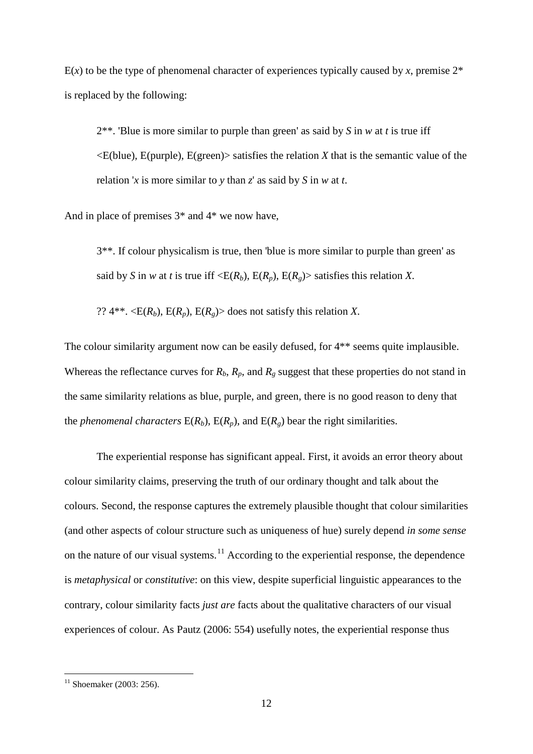$E(x)$  to be the type of phenomenal character of experiences typically caused by x, premise  $2^*$ is replaced by the following:

2\*\*. 'Blue is more similar to purple than green' as said by *S* in *w* at *t* is true iff  $\leq$ E(blue), E(purple), E(green) satisfies the relation *X* that is the semantic value of the relation '*x* is more similar to *y* than *z*' as said by *S* in *w* at *t*.

And in place of premises 3\* and 4\* we now have,

3\*\*. If colour physicalism is true, then 'blue is more similar to purple than green' as said by *S* in *w* at *t* is true iff  $\langle E(R_h), E(R_n), E(R_g) \rangle$  satisfies this relation *X*.

??  $4^{**}$ .  $\langle E(R_h), E(R_n), E(R_\sigma) \rangle$  does not satisfy this relation *X*.

The colour similarity argument now can be easily defused, for 4\*\* seems quite implausible. Whereas the reflectance curves for  $R_b$ ,  $R_p$ , and  $R_g$  suggest that these properties do not stand in the same similarity relations as blue, purple, and green, there is no good reason to deny that the *phenomenal characters*  $E(R_b)$ ,  $E(R_a)$ , and  $E(R_a)$  bear the right similarities.

The experiential response has significant appeal. First, it avoids an error theory about colour similarity claims, preserving the truth of our ordinary thought and talk about the colours. Second, the response captures the extremely plausible thought that colour similarities (and other aspects of colour structure such as uniqueness of hue) surely depend *in some sense* on the nature of our visual systems.<sup>[11](#page-12-0)</sup> According to the experiential response, the dependence is *metaphysical* or *constitutive*: on this view, despite superficial linguistic appearances to the contrary, colour similarity facts *just are* facts about the qualitative characters of our visual experiences of colour. As Pautz (2006: 554) usefully notes, the experiential response thus

<u>.</u>

<span id="page-12-0"></span> $11$  Shoemaker (2003: 256).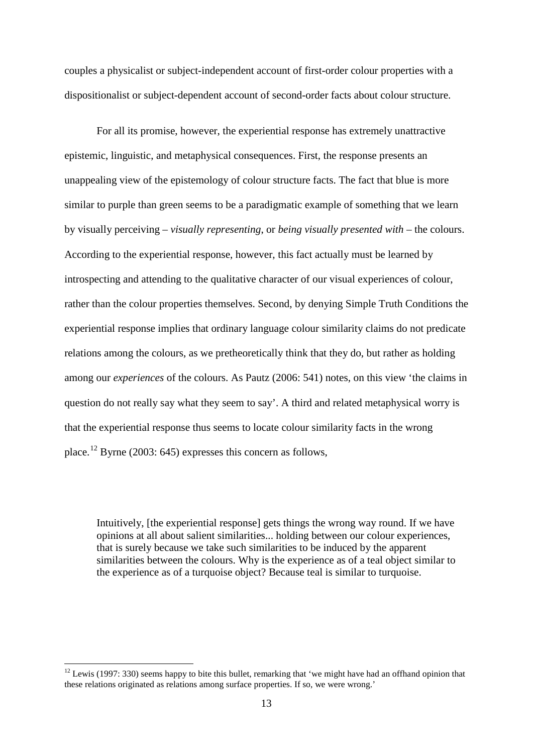couples a physicalist or subject-independent account of first-order colour properties with a dispositionalist or subject-dependent account of second-order facts about colour structure.

For all its promise, however, the experiential response has extremely unattractive epistemic, linguistic, and metaphysical consequences. First, the response presents an unappealing view of the epistemology of colour structure facts. The fact that blue is more similar to purple than green seems to be a paradigmatic example of something that we learn by visually perceiving – *visually representing*, or *being visually presented with* – the colours. According to the experiential response, however, this fact actually must be learned by introspecting and attending to the qualitative character of our visual experiences of colour, rather than the colour properties themselves. Second, by denying Simple Truth Conditions the experiential response implies that ordinary language colour similarity claims do not predicate relations among the colours, as we pretheoretically think that they do, but rather as holding among our *experiences* of the colours. As Pautz (2006: 541) notes, on this view 'the claims in question do not really say what they seem to say'. A third and related metaphysical worry is that the experiential response thus seems to locate colour similarity facts in the wrong place.<sup>[12](#page-13-0)</sup> Byrne (2003: 645) expresses this concern as follows,

Intuitively, [the experiential response] gets things the wrong way round. If we have opinions at all about salient similarities... holding between our colour experiences, that is surely because we take such similarities to be induced by the apparent similarities between the colours. Why is the experience as of a teal object similar to the experience as of a turquoise object? Because teal is similar to turquoise.

<u>.</u>

<span id="page-13-0"></span> $12$  Lewis (1997: 330) seems happy to bite this bullet, remarking that 'we might have had an offhand opinion that these relations originated as relations among surface properties. If so, we were wrong.'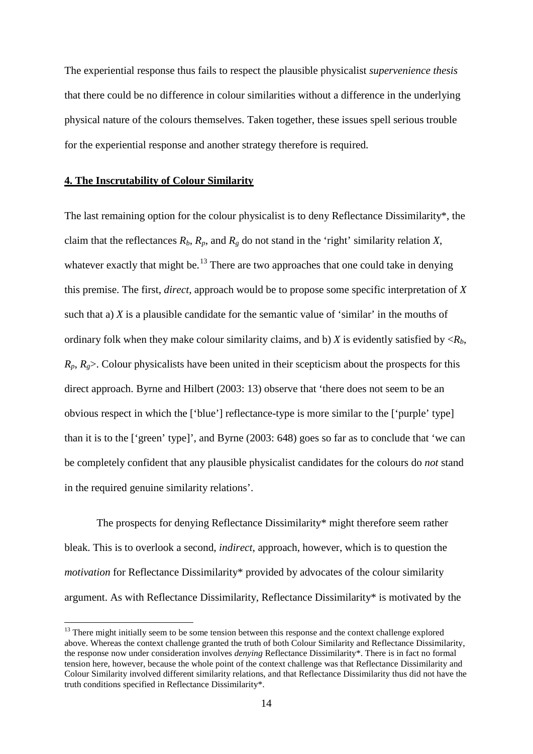The experiential response thus fails to respect the plausible physicalist *supervenience thesis* that there could be no difference in colour similarities without a difference in the underlying physical nature of the colours themselves. Taken together, these issues spell serious trouble for the experiential response and another strategy therefore is required.

#### **4. The Inscrutability of Colour Similarity**

-

The last remaining option for the colour physicalist is to deny Reflectance Dissimilarity\*, the claim that the reflectances  $R_b$ ,  $R_p$ , and  $R_g$  do not stand in the 'right' similarity relation *X*, whatever exactly that might be.<sup>[13](#page-14-0)</sup> There are two approaches that one could take in denying this premise. The first, *direct*, approach would be to propose some specific interpretation of *X* such that a) *X* is a plausible candidate for the semantic value of 'similar' in the mouths of ordinary folk when they make colour similarity claims, and b) *X* is evidently satisfied by  $\langle R_h, R_h \rangle$  $R_p$ ,  $R_p$ . Colour physicalists have been united in their scepticism about the prospects for this direct approach. Byrne and Hilbert (2003: 13) observe that 'there does not seem to be an obvious respect in which the ['blue'] reflectance-type is more similar to the ['purple' type] than it is to the ['green' type]', and Byrne (2003: 648) goes so far as to conclude that 'we can be completely confident that any plausible physicalist candidates for the colours do *not* stand in the required genuine similarity relations'.

The prospects for denying Reflectance Dissimilarity\* might therefore seem rather bleak. This is to overlook a second, *indirect*, approach, however, which is to question the *motivation* for Reflectance Dissimilarity\* provided by advocates of the colour similarity argument. As with Reflectance Dissimilarity, Reflectance Dissimilarity\* is motivated by the

<span id="page-14-0"></span><sup>&</sup>lt;sup>13</sup> There might initially seem to be some tension between this response and the context challenge explored above. Whereas the context challenge granted the truth of both Colour Similarity and Reflectance Dissimilarity, the response now under consideration involves *denying* Reflectance Dissimilarity\*. There is in fact no formal tension here, however, because the whole point of the context challenge was that Reflectance Dissimilarity and Colour Similarity involved different similarity relations, and that Reflectance Dissimilarity thus did not have the truth conditions specified in Reflectance Dissimilarity\*.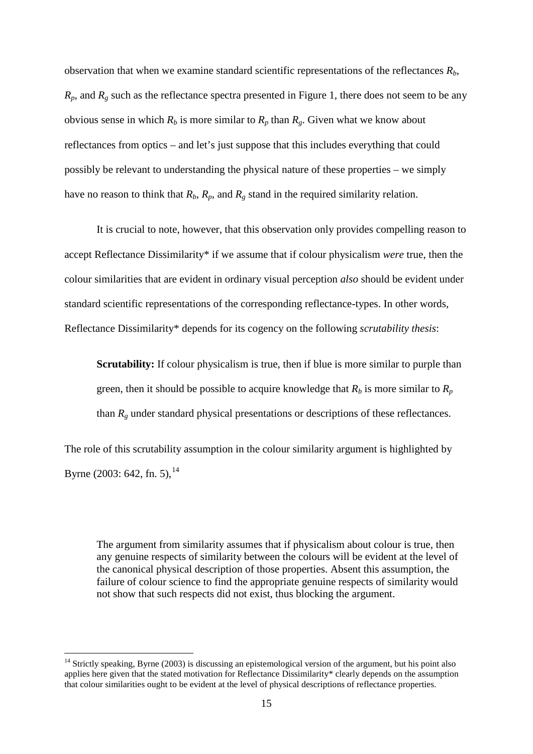observation that when we examine standard scientific representations of the reflectances  $R_b$ ,  $R_p$ , and  $R_g$  such as the reflectance spectra presented in Figure 1, there does not seem to be any obvious sense in which  $R_b$  is more similar to  $R_p$  than  $R_g$ . Given what we know about reflectances from optics – and let's just suppose that this includes everything that could possibly be relevant to understanding the physical nature of these properties – we simply have no reason to think that  $R_b$ ,  $R_p$ , and  $R_g$  stand in the required similarity relation.

It is crucial to note, however, that this observation only provides compelling reason to accept Reflectance Dissimilarity\* if we assume that if colour physicalism *were* true, then the colour similarities that are evident in ordinary visual perception *also* should be evident under standard scientific representations of the corresponding reflectance-types. In other words, Reflectance Dissimilarity\* depends for its cogency on the following *scrutability thesis*:

**Scrutability:** If colour physicalism is true, then if blue is more similar to purple than green, then it should be possible to acquire knowledge that  $R_b$  is more similar to  $R_p$ than *Rg* under standard physical presentations or descriptions of these reflectances.

The role of this scrutability assumption in the colour similarity argument is highlighted by Byrne (2003: 642, fn. 5),  $^{14}$  $^{14}$  $^{14}$ 

The argument from similarity assumes that if physicalism about colour is true, then any genuine respects of similarity between the colours will be evident at the level of the canonical physical description of those properties. Absent this assumption, the failure of colour science to find the appropriate genuine respects of similarity would not show that such respects did not exist, thus blocking the argument.

<span id="page-15-0"></span> $14$  Strictly speaking, Byrne (2003) is discussing an epistemological version of the argument, but his point also applies here given that the stated motivation for Reflectance Dissimilarity\* clearly depends on the assumption that colour similarities ought to be evident at the level of physical descriptions of reflectance properties.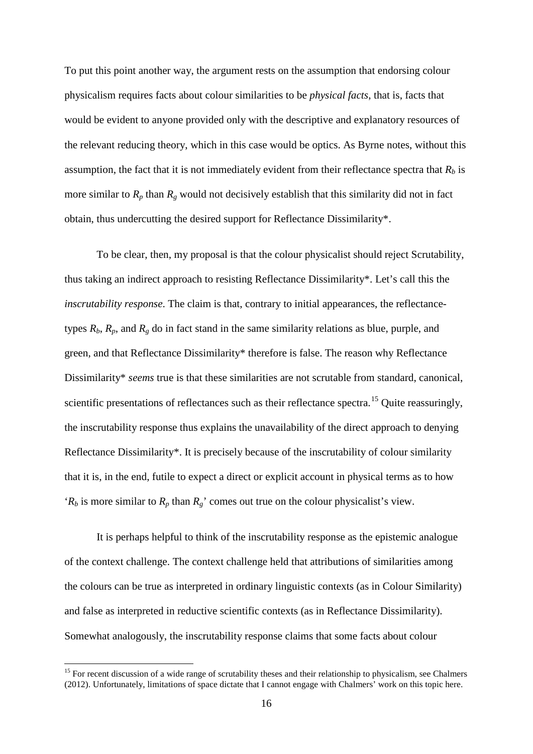To put this point another way, the argument rests on the assumption that endorsing colour physicalism requires facts about colour similarities to be *physical facts*, that is, facts that would be evident to anyone provided only with the descriptive and explanatory resources of the relevant reducing theory, which in this case would be optics. As Byrne notes, without this assumption, the fact that it is not immediately evident from their reflectance spectra that  $R_b$  is more similar to  $R_p$  than  $R_g$  would not decisively establish that this similarity did not in fact obtain, thus undercutting the desired support for Reflectance Dissimilarity\*.

To be clear, then, my proposal is that the colour physicalist should reject Scrutability, thus taking an indirect approach to resisting Reflectance Dissimilarity\*. Let's call this the *inscrutability response*. The claim is that, contrary to initial appearances, the reflectancetypes  $R_b$ ,  $R_p$ , and  $R_g$  do in fact stand in the same similarity relations as blue, purple, and green, and that Reflectance Dissimilarity\* therefore is false. The reason why Reflectance Dissimilarity\* *seems* true is that these similarities are not scrutable from standard, canonical, scientific presentations of reflectances such as their reflectance spectra.<sup>[15](#page-16-0)</sup> Quite reassuringly, the inscrutability response thus explains the unavailability of the direct approach to denying Reflectance Dissimilarity\*. It is precisely because of the inscrutability of colour similarity that it is, in the end, futile to expect a direct or explicit account in physical terms as to how ' $R_b$  is more similar to  $R_p$  than  $R_g$ ' comes out true on the colour physicalist's view.

It is perhaps helpful to think of the inscrutability response as the epistemic analogue of the context challenge. The context challenge held that attributions of similarities among the colours can be true as interpreted in ordinary linguistic contexts (as in Colour Similarity) and false as interpreted in reductive scientific contexts (as in Reflectance Dissimilarity). Somewhat analogously, the inscrutability response claims that some facts about colour

<u>.</u>

<span id="page-16-0"></span> $15$  For recent discussion of a wide range of scrutability theses and their relationship to physicalism, see Chalmers (2012). Unfortunately, limitations of space dictate that I cannot engage with Chalmers' work on this topic here.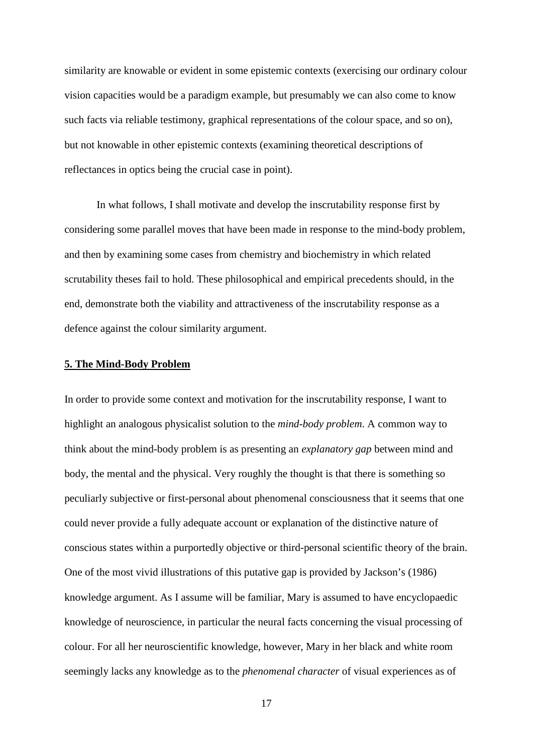similarity are knowable or evident in some epistemic contexts (exercising our ordinary colour vision capacities would be a paradigm example, but presumably we can also come to know such facts via reliable testimony, graphical representations of the colour space, and so on), but not knowable in other epistemic contexts (examining theoretical descriptions of reflectances in optics being the crucial case in point).

In what follows, I shall motivate and develop the inscrutability response first by considering some parallel moves that have been made in response to the mind-body problem, and then by examining some cases from chemistry and biochemistry in which related scrutability theses fail to hold. These philosophical and empirical precedents should, in the end, demonstrate both the viability and attractiveness of the inscrutability response as a defence against the colour similarity argument.

#### **5. The Mind-Body Problem**

In order to provide some context and motivation for the inscrutability response, I want to highlight an analogous physicalist solution to the *mind-body problem*. A common way to think about the mind-body problem is as presenting an *explanatory gap* between mind and body, the mental and the physical. Very roughly the thought is that there is something so peculiarly subjective or first-personal about phenomenal consciousness that it seems that one could never provide a fully adequate account or explanation of the distinctive nature of conscious states within a purportedly objective or third-personal scientific theory of the brain. One of the most vivid illustrations of this putative gap is provided by Jackson's (1986) knowledge argument. As I assume will be familiar, Mary is assumed to have encyclopaedic knowledge of neuroscience, in particular the neural facts concerning the visual processing of colour. For all her neuroscientific knowledge, however, Mary in her black and white room seemingly lacks any knowledge as to the *phenomenal character* of visual experiences as of

17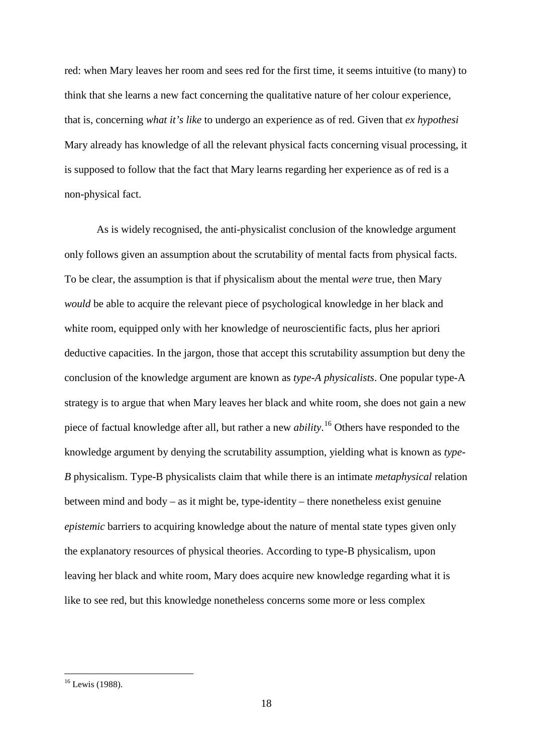red: when Mary leaves her room and sees red for the first time, it seems intuitive (to many) to think that she learns a new fact concerning the qualitative nature of her colour experience, that is, concerning *what it's like* to undergo an experience as of red. Given that *ex hypothesi*  Mary already has knowledge of all the relevant physical facts concerning visual processing, it is supposed to follow that the fact that Mary learns regarding her experience as of red is a non-physical fact.

As is widely recognised, the anti-physicalist conclusion of the knowledge argument only follows given an assumption about the scrutability of mental facts from physical facts. To be clear, the assumption is that if physicalism about the mental *were* true, then Mary *would* be able to acquire the relevant piece of psychological knowledge in her black and white room, equipped only with her knowledge of neuroscientific facts, plus her apriori deductive capacities. In the jargon, those that accept this scrutability assumption but deny the conclusion of the knowledge argument are known as *type-A physicalists*. One popular type-A strategy is to argue that when Mary leaves her black and white room, she does not gain a new piece of factual knowledge after all, but rather a new *ability*. [16](#page-18-0) Others have responded to the knowledge argument by denying the scrutability assumption, yielding what is known as *type-B* physicalism. Type-B physicalists claim that while there is an intimate *metaphysical* relation between mind and body – as it might be, type-identity – there nonetheless exist genuine *epistemic* barriers to acquiring knowledge about the nature of mental state types given only the explanatory resources of physical theories. According to type-B physicalism, upon leaving her black and white room, Mary does acquire new knowledge regarding what it is like to see red, but this knowledge nonetheless concerns some more or less complex

<u>.</u>

<span id="page-18-0"></span><sup>&</sup>lt;sup>16</sup> Lewis (1988).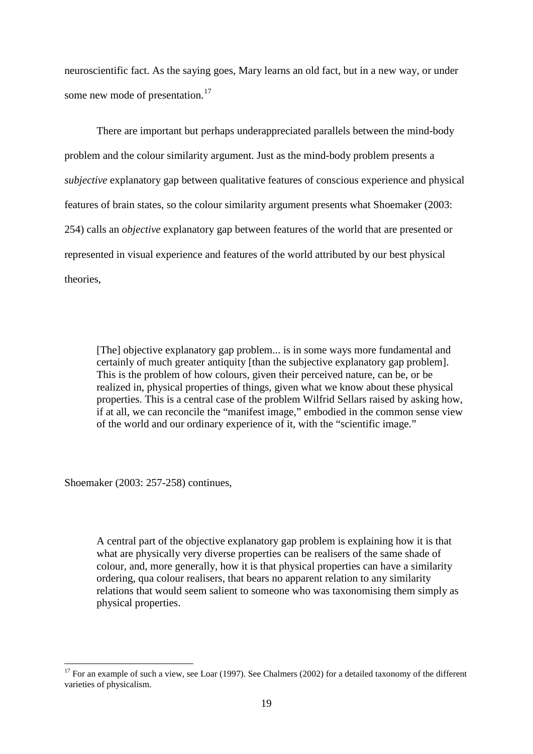neuroscientific fact. As the saying goes, Mary learns an old fact, but in a new way, or under some new mode of presentation.<sup>[17](#page-19-0)</sup>

There are important but perhaps underappreciated parallels between the mind-body problem and the colour similarity argument. Just as the mind-body problem presents a *subjective* explanatory gap between qualitative features of conscious experience and physical features of brain states, so the colour similarity argument presents what Shoemaker (2003: 254) calls an *objective* explanatory gap between features of the world that are presented or represented in visual experience and features of the world attributed by our best physical theories,

[The] objective explanatory gap problem... is in some ways more fundamental and certainly of much greater antiquity [than the subjective explanatory gap problem]. This is the problem of how colours, given their perceived nature, can be, or be realized in, physical properties of things, given what we know about these physical properties. This is a central case of the problem Wilfrid Sellars raised by asking how, if at all, we can reconcile the "manifest image," embodied in the common sense view of the world and our ordinary experience of it, with the "scientific image."

Shoemaker (2003: 257-258) continues,

A central part of the objective explanatory gap problem is explaining how it is that what are physically very diverse properties can be realisers of the same shade of colour, and, more generally, how it is that physical properties can have a similarity ordering, qua colour realisers, that bears no apparent relation to any similarity relations that would seem salient to someone who was taxonomising them simply as physical properties.

<span id="page-19-0"></span> $17$  For an example of such a view, see Loar (1997). See Chalmers (2002) for a detailed taxonomy of the different varieties of physicalism. <u>.</u>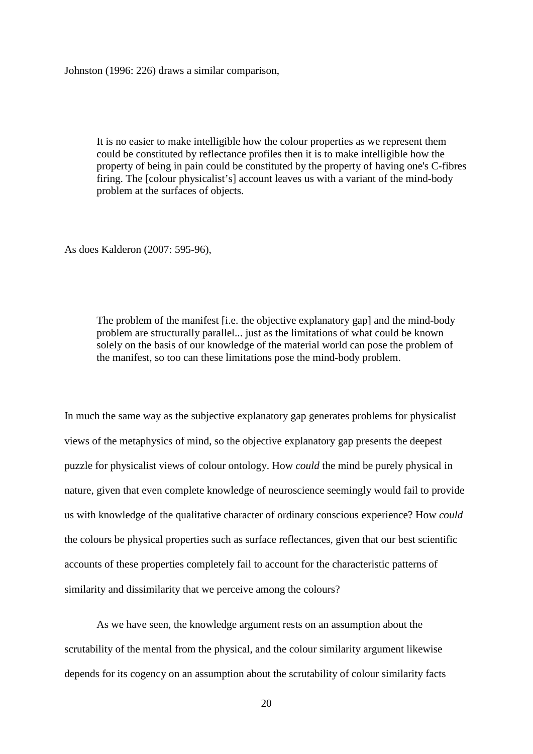Johnston (1996: 226) draws a similar comparison,

It is no easier to make intelligible how the colour properties as we represent them could be constituted by reflectance profiles then it is to make intelligible how the property of being in pain could be constituted by the property of having one's C-fibres firing. The [colour physicalist's] account leaves us with a variant of the mind-body problem at the surfaces of objects.

As does Kalderon (2007: 595-96),

The problem of the manifest [i.e. the objective explanatory gap] and the mind-body problem are structurally parallel... just as the limitations of what could be known solely on the basis of our knowledge of the material world can pose the problem of the manifest, so too can these limitations pose the mind-body problem.

In much the same way as the subjective explanatory gap generates problems for physicalist views of the metaphysics of mind, so the objective explanatory gap presents the deepest puzzle for physicalist views of colour ontology. How *could* the mind be purely physical in nature, given that even complete knowledge of neuroscience seemingly would fail to provide us with knowledge of the qualitative character of ordinary conscious experience? How *could* the colours be physical properties such as surface reflectances, given that our best scientific accounts of these properties completely fail to account for the characteristic patterns of similarity and dissimilarity that we perceive among the colours?

As we have seen, the knowledge argument rests on an assumption about the scrutability of the mental from the physical, and the colour similarity argument likewise depends for its cogency on an assumption about the scrutability of colour similarity facts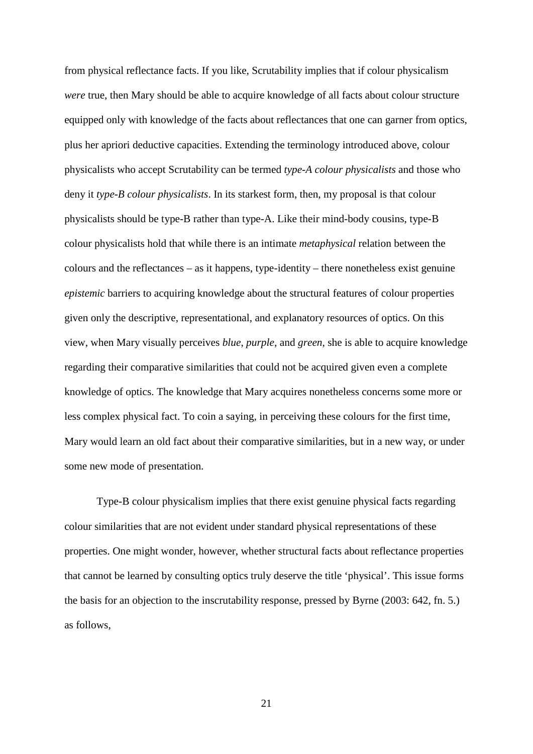from physical reflectance facts. If you like, Scrutability implies that if colour physicalism *were* true, then Mary should be able to acquire knowledge of all facts about colour structure equipped only with knowledge of the facts about reflectances that one can garner from optics, plus her apriori deductive capacities. Extending the terminology introduced above, colour physicalists who accept Scrutability can be termed *type-A colour physicalists* and those who deny it *type-B colour physicalists*. In its starkest form, then, my proposal is that colour physicalists should be type-B rather than type-A. Like their mind-body cousins, type-B colour physicalists hold that while there is an intimate *metaphysical* relation between the colours and the reflectances – as it happens, type-identity – there nonetheless exist genuine *epistemic* barriers to acquiring knowledge about the structural features of colour properties given only the descriptive, representational, and explanatory resources of optics. On this view, when Mary visually perceives *blue*, *purple*, and *green*, she is able to acquire knowledge regarding their comparative similarities that could not be acquired given even a complete knowledge of optics. The knowledge that Mary acquires nonetheless concerns some more or less complex physical fact. To coin a saying, in perceiving these colours for the first time, Mary would learn an old fact about their comparative similarities, but in a new way, or under some new mode of presentation.

Type-B colour physicalism implies that there exist genuine physical facts regarding colour similarities that are not evident under standard physical representations of these properties. One might wonder, however, whether structural facts about reflectance properties that cannot be learned by consulting optics truly deserve the title 'physical'. This issue forms the basis for an objection to the inscrutability response, pressed by Byrne (2003: 642, fn. 5.) as follows,

21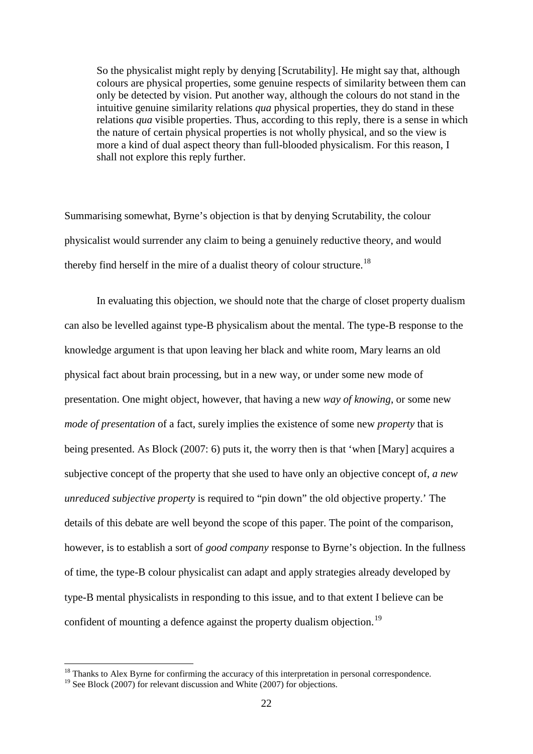So the physicalist might reply by denying [Scrutability]. He might say that, although colours are physical properties, some genuine respects of similarity between them can only be detected by vision. Put another way, although the colours do not stand in the intuitive genuine similarity relations *qua* physical properties, they do stand in these relations *qua* visible properties. Thus, according to this reply, there is a sense in which the nature of certain physical properties is not wholly physical, and so the view is more a kind of dual aspect theory than full-blooded physicalism. For this reason, I shall not explore this reply further.

Summarising somewhat, Byrne's objection is that by denying Scrutability, the colour physicalist would surrender any claim to being a genuinely reductive theory, and would thereby find herself in the mire of a dualist theory of colour structure.<sup>[18](#page-22-0)</sup>

In evaluating this objection, we should note that the charge of closet property dualism can also be levelled against type-B physicalism about the mental. The type-B response to the knowledge argument is that upon leaving her black and white room, Mary learns an old physical fact about brain processing, but in a new way, or under some new mode of presentation. One might object, however, that having a new *way of knowing*, or some new *mode of presentation* of a fact, surely implies the existence of some new *property* that is being presented. As Block (2007: 6) puts it, the worry then is that 'when [Mary] acquires a subjective concept of the property that she used to have only an objective concept of, *a new unreduced subjective property* is required to "pin down" the old objective property.' The details of this debate are well beyond the scope of this paper. The point of the comparison, however, is to establish a sort of *good company* response to Byrne's objection. In the fullness of time, the type-B colour physicalist can adapt and apply strategies already developed by type-B mental physicalists in responding to this issue, and to that extent I believe can be confident of mounting a defence against the property dualism objection.<sup>[19](#page-22-1)</sup>

<u>.</u>

<sup>&</sup>lt;sup>18</sup> Thanks to Alex Byrne for confirming the accuracy of this interpretation in personal correspondence.

<span id="page-22-1"></span><span id="page-22-0"></span><sup>&</sup>lt;sup>19</sup> See Block (2007) for relevant discussion and White (2007) for objections.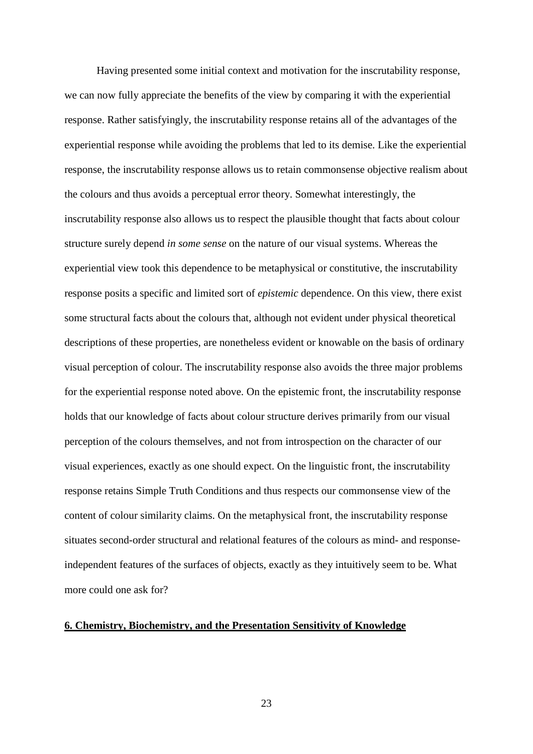Having presented some initial context and motivation for the inscrutability response, we can now fully appreciate the benefits of the view by comparing it with the experiential response. Rather satisfyingly, the inscrutability response retains all of the advantages of the experiential response while avoiding the problems that led to its demise. Like the experiential response, the inscrutability response allows us to retain commonsense objective realism about the colours and thus avoids a perceptual error theory. Somewhat interestingly, the inscrutability response also allows us to respect the plausible thought that facts about colour structure surely depend *in some sense* on the nature of our visual systems. Whereas the experiential view took this dependence to be metaphysical or constitutive, the inscrutability response posits a specific and limited sort of *epistemic* dependence. On this view, there exist some structural facts about the colours that, although not evident under physical theoretical descriptions of these properties, are nonetheless evident or knowable on the basis of ordinary visual perception of colour. The inscrutability response also avoids the three major problems for the experiential response noted above. On the epistemic front, the inscrutability response holds that our knowledge of facts about colour structure derives primarily from our visual perception of the colours themselves, and not from introspection on the character of our visual experiences, exactly as one should expect. On the linguistic front, the inscrutability response retains Simple Truth Conditions and thus respects our commonsense view of the content of colour similarity claims. On the metaphysical front, the inscrutability response situates second-order structural and relational features of the colours as mind- and responseindependent features of the surfaces of objects, exactly as they intuitively seem to be. What more could one ask for?

### **6. Chemistry, Biochemistry, and the Presentation Sensitivity of Knowledge**

23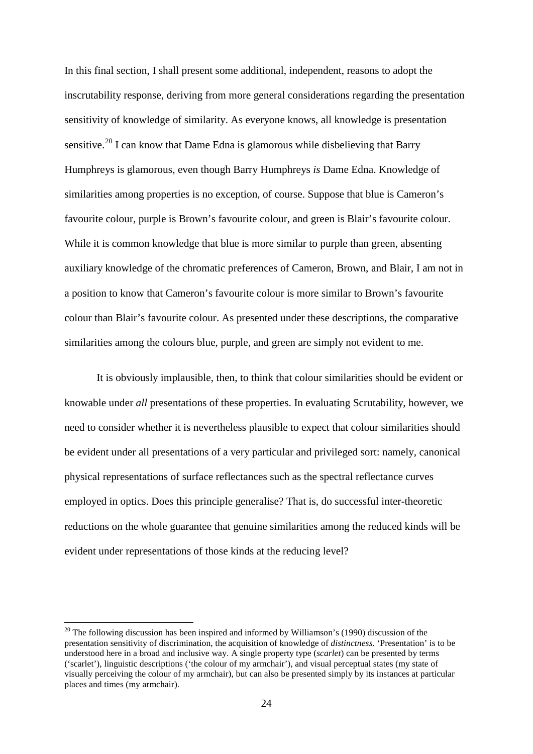In this final section, I shall present some additional, independent, reasons to adopt the inscrutability response, deriving from more general considerations regarding the presentation sensitivity of knowledge of similarity. As everyone knows, all knowledge is presentation sensitive.<sup>[20](#page-24-0)</sup> I can know that Dame Edna is glamorous while disbelieving that Barry Humphreys is glamorous, even though Barry Humphreys *is* Dame Edna. Knowledge of similarities among properties is no exception, of course. Suppose that blue is Cameron's favourite colour, purple is Brown's favourite colour, and green is Blair's favourite colour. While it is common knowledge that blue is more similar to purple than green, absenting auxiliary knowledge of the chromatic preferences of Cameron, Brown, and Blair, I am not in a position to know that Cameron's favourite colour is more similar to Brown's favourite colour than Blair's favourite colour. As presented under these descriptions, the comparative similarities among the colours blue, purple, and green are simply not evident to me.

It is obviously implausible, then, to think that colour similarities should be evident or knowable under *all* presentations of these properties. In evaluating Scrutability, however, we need to consider whether it is nevertheless plausible to expect that colour similarities should be evident under all presentations of a very particular and privileged sort: namely, canonical physical representations of surface reflectances such as the spectral reflectance curves employed in optics. Does this principle generalise? That is, do successful inter-theoretic reductions on the whole guarantee that genuine similarities among the reduced kinds will be evident under representations of those kinds at the reducing level?

<span id="page-24-0"></span> $20$  The following discussion has been inspired and informed by Williamson's (1990) discussion of the presentation sensitivity of discrimination, the acquisition of knowledge of *distinctness*. 'Presentation' is to be understood here in a broad and inclusive way. A single property type (*scarlet*) can be presented by terms ('scarlet'), linguistic descriptions ('the colour of my armchair'), and visual perceptual states (my state of visually perceiving the colour of my armchair), but can also be presented simply by its instances at particular places and times (my armchair).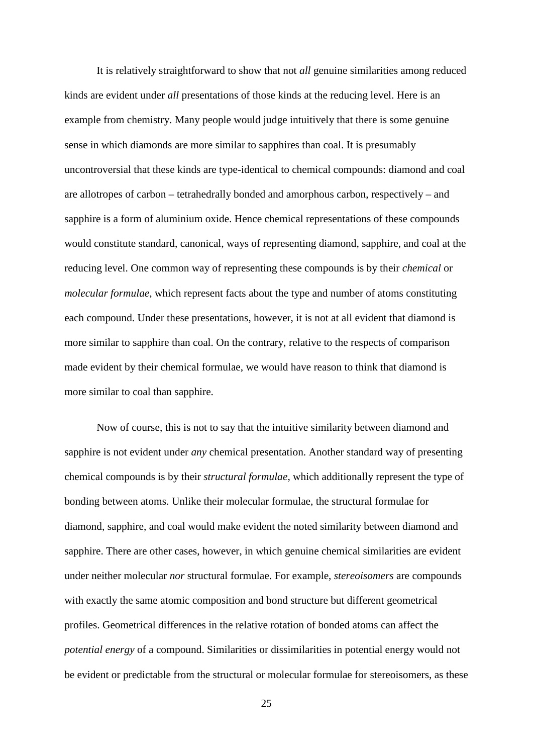It is relatively straightforward to show that not *all* genuine similarities among reduced kinds are evident under *all* presentations of those kinds at the reducing level. Here is an example from chemistry. Many people would judge intuitively that there is some genuine sense in which diamonds are more similar to sapphires than coal. It is presumably uncontroversial that these kinds are type-identical to chemical compounds: diamond and coal are allotropes of carbon – tetrahedrally bonded and amorphous carbon, respectively – and sapphire is a form of aluminium oxide. Hence chemical representations of these compounds would constitute standard, canonical, ways of representing diamond, sapphire, and coal at the reducing level. One common way of representing these compounds is by their *chemical* or *molecular formulae*, which represent facts about the type and number of atoms constituting each compound. Under these presentations, however, it is not at all evident that diamond is more similar to sapphire than coal. On the contrary, relative to the respects of comparison made evident by their chemical formulae, we would have reason to think that diamond is more similar to coal than sapphire.

Now of course, this is not to say that the intuitive similarity between diamond and sapphire is not evident under *any* chemical presentation. Another standard way of presenting chemical compounds is by their *structural formulae*, which additionally represent the type of bonding between atoms. Unlike their molecular formulae, the structural formulae for diamond, sapphire, and coal would make evident the noted similarity between diamond and sapphire. There are other cases, however, in which genuine chemical similarities are evident under neither molecular *nor* structural formulae. For example, *stereoisomers* are compounds with exactly the same atomic composition and bond structure but different geometrical profiles. Geometrical differences in the relative rotation of bonded atoms can affect the *potential energy* of a compound. Similarities or dissimilarities in potential energy would not be evident or predictable from the structural or molecular formulae for stereoisomers, as these

25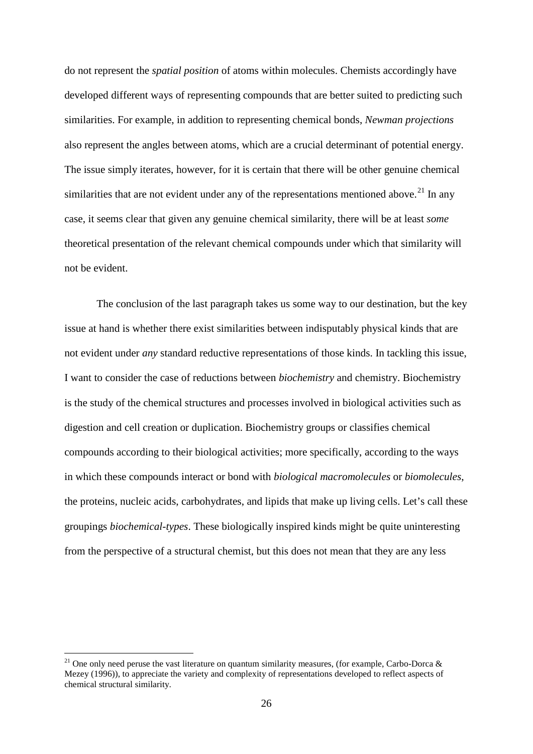do not represent the *spatial position* of atoms within molecules. Chemists accordingly have developed different ways of representing compounds that are better suited to predicting such similarities. For example, in addition to representing chemical bonds, *Newman projections* also represent the angles between atoms, which are a crucial determinant of potential energy. The issue simply iterates, however, for it is certain that there will be other genuine chemical similarities that are not evident under any of the representations mentioned above.<sup>[21](#page-26-0)</sup> In any case, it seems clear that given any genuine chemical similarity, there will be at least *some* theoretical presentation of the relevant chemical compounds under which that similarity will not be evident.

The conclusion of the last paragraph takes us some way to our destination, but the key issue at hand is whether there exist similarities between indisputably physical kinds that are not evident under *any* standard reductive representations of those kinds. In tackling this issue, I want to consider the case of reductions between *biochemistry* and chemistry. Biochemistry is the study of the chemical structures and processes involved in biological activities such as digestion and cell creation or duplication. Biochemistry groups or classifies chemical compounds according to their biological activities; more specifically, according to the ways in which these compounds interact or bond with *biological macromolecules* or *biomolecules*, the proteins, nucleic acids, carbohydrates, and lipids that make up living cells. Let's call these groupings *biochemical-types*. These biologically inspired kinds might be quite uninteresting from the perspective of a structural chemist, but this does not mean that they are any less

<span id="page-26-0"></span><sup>&</sup>lt;sup>21</sup> One only need peruse the vast literature on quantum similarity measures, (for example, Carbo-Dorca & Mezey (1996)), to appreciate the variety and complexity of representations developed to reflect aspects of chemical structural similarity.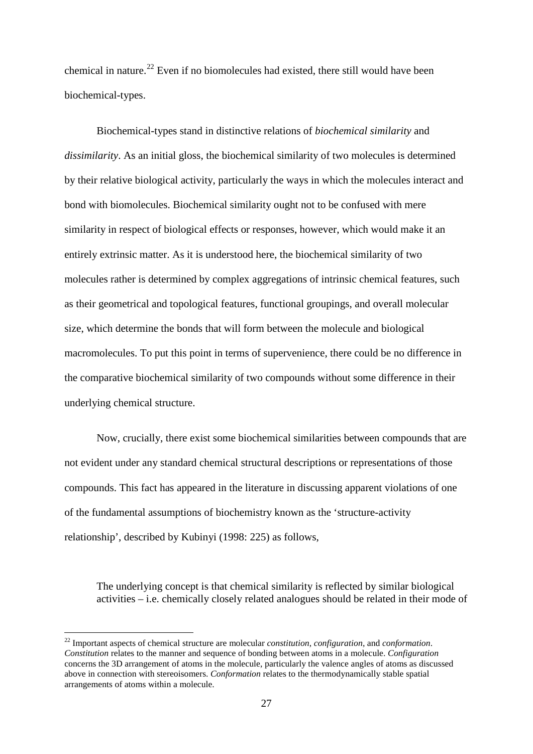chemical in nature.<sup>[22](#page-27-0)</sup> Even if no biomolecules had existed, there still would have been biochemical-types.

Biochemical-types stand in distinctive relations of *biochemical similarity* and *dissimilarity*. As an initial gloss, the biochemical similarity of two molecules is determined by their relative biological activity, particularly the ways in which the molecules interact and bond with biomolecules. Biochemical similarity ought not to be confused with mere similarity in respect of biological effects or responses, however, which would make it an entirely extrinsic matter. As it is understood here, the biochemical similarity of two molecules rather is determined by complex aggregations of intrinsic chemical features, such as their geometrical and topological features, functional groupings, and overall molecular size, which determine the bonds that will form between the molecule and biological macromolecules. To put this point in terms of supervenience, there could be no difference in the comparative biochemical similarity of two compounds without some difference in their underlying chemical structure.

Now, crucially, there exist some biochemical similarities between compounds that are not evident under any standard chemical structural descriptions or representations of those compounds. This fact has appeared in the literature in discussing apparent violations of one of the fundamental assumptions of biochemistry known as the 'structure-activity relationship', described by Kubinyi (1998: 225) as follows,

The underlying concept is that chemical similarity is reflected by similar biological activities – i.e. chemically closely related analogues should be related in their mode of

<span id="page-27-0"></span><sup>22</sup> Important aspects of chemical structure are molecular *constitution*, *configuration*, and *conformation*. *Constitution* relates to the manner and sequence of bonding between atoms in a molecule. *Configuration* concerns the 3D arrangement of atoms in the molecule, particularly the valence angles of atoms as discussed above in connection with stereoisomers. *Conformation* relates to the thermodynamically stable spatial arrangements of atoms within a molecule.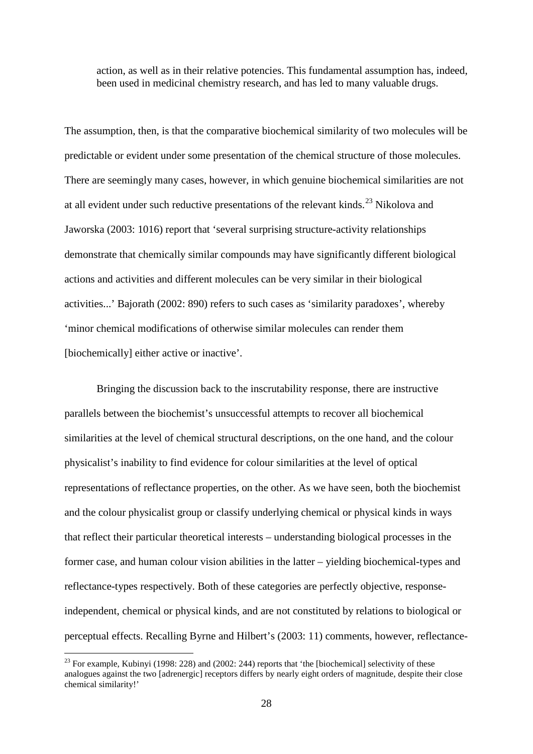action, as well as in their relative potencies. This fundamental assumption has, indeed, been used in medicinal chemistry research, and has led to many valuable drugs.

The assumption, then, is that the comparative biochemical similarity of two molecules will be predictable or evident under some presentation of the chemical structure of those molecules. There are seemingly many cases, however, in which genuine biochemical similarities are not at all evident under such reductive presentations of the relevant kinds.<sup>[23](#page-28-0)</sup> Nikolova and Jaworska (2003: 1016) report that 'several surprising structure-activity relationships demonstrate that chemically similar compounds may have significantly different biological actions and activities and different molecules can be very similar in their biological activities...' Bajorath (2002: 890) refers to such cases as 'similarity paradoxes', whereby 'minor chemical modifications of otherwise similar molecules can render them [biochemically] either active or inactive'.

Bringing the discussion back to the inscrutability response, there are instructive parallels between the biochemist's unsuccessful attempts to recover all biochemical similarities at the level of chemical structural descriptions, on the one hand, and the colour physicalist's inability to find evidence for colour similarities at the level of optical representations of reflectance properties, on the other. As we have seen, both the biochemist and the colour physicalist group or classify underlying chemical or physical kinds in ways that reflect their particular theoretical interests – understanding biological processes in the former case, and human colour vision abilities in the latter – yielding biochemical-types and reflectance-types respectively. Both of these categories are perfectly objective, responseindependent, chemical or physical kinds, and are not constituted by relations to biological or perceptual effects. Recalling Byrne and Hilbert's (2003: 11) comments, however, reflectance-

<span id="page-28-0"></span> $^{23}$  For example, Kubinyi (1998: 228) and (2002: 244) reports that 'the [biochemical] selectivity of these analogues against the two [adrenergic] receptors differs by nearly eight orders of magnitude, despite their close chemical similarity!'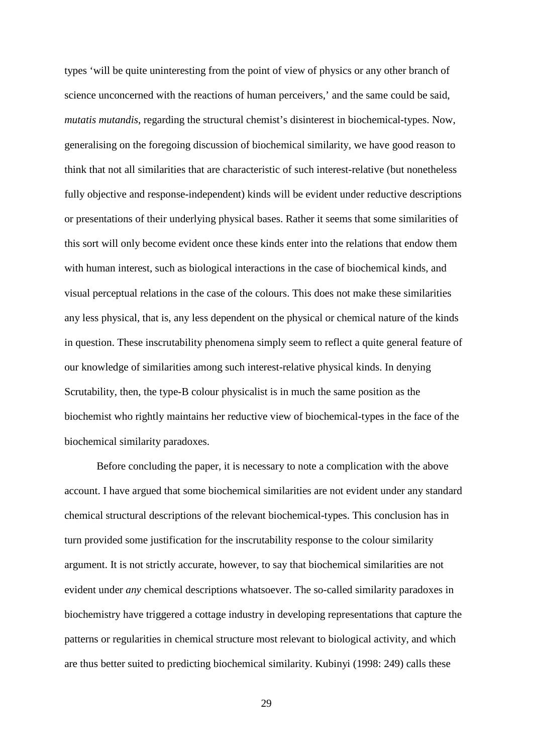types 'will be quite uninteresting from the point of view of physics or any other branch of science unconcerned with the reactions of human perceivers,' and the same could be said, *mutatis mutandis*, regarding the structural chemist's disinterest in biochemical-types. Now, generalising on the foregoing discussion of biochemical similarity, we have good reason to think that not all similarities that are characteristic of such interest-relative (but nonetheless fully objective and response-independent) kinds will be evident under reductive descriptions or presentations of their underlying physical bases. Rather it seems that some similarities of this sort will only become evident once these kinds enter into the relations that endow them with human interest, such as biological interactions in the case of biochemical kinds, and visual perceptual relations in the case of the colours. This does not make these similarities any less physical, that is, any less dependent on the physical or chemical nature of the kinds in question. These inscrutability phenomena simply seem to reflect a quite general feature of our knowledge of similarities among such interest-relative physical kinds. In denying Scrutability, then, the type-B colour physicalist is in much the same position as the biochemist who rightly maintains her reductive view of biochemical-types in the face of the biochemical similarity paradoxes.

Before concluding the paper, it is necessary to note a complication with the above account. I have argued that some biochemical similarities are not evident under any standard chemical structural descriptions of the relevant biochemical-types. This conclusion has in turn provided some justification for the inscrutability response to the colour similarity argument. It is not strictly accurate, however, to say that biochemical similarities are not evident under *any* chemical descriptions whatsoever. The so-called similarity paradoxes in biochemistry have triggered a cottage industry in developing representations that capture the patterns or regularities in chemical structure most relevant to biological activity, and which are thus better suited to predicting biochemical similarity. Kubinyi (1998: 249) calls these

29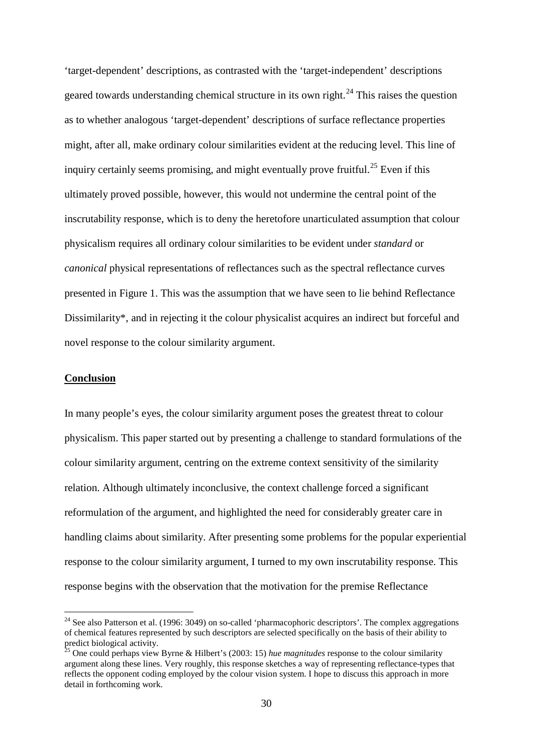'target-dependent' descriptions, as contrasted with the 'target-independent' descriptions geared towards understanding chemical structure in its own right.<sup>[24](#page-30-0)</sup> This raises the question as to whether analogous 'target-dependent' descriptions of surface reflectance properties might, after all, make ordinary colour similarities evident at the reducing level. This line of inquiry certainly seems promising, and might eventually prove fruitful.<sup>[25](#page-30-1)</sup> Even if this ultimately proved possible, however, this would not undermine the central point of the inscrutability response, which is to deny the heretofore unarticulated assumption that colour physicalism requires all ordinary colour similarities to be evident under *standard* or *canonical* physical representations of reflectances such as the spectral reflectance curves presented in Figure 1. This was the assumption that we have seen to lie behind Reflectance Dissimilarity\*, and in rejecting it the colour physicalist acquires an indirect but forceful and novel response to the colour similarity argument.

### **Conclusion**

<u>.</u>

In many people's eyes, the colour similarity argument poses the greatest threat to colour physicalism. This paper started out by presenting a challenge to standard formulations of the colour similarity argument, centring on the extreme context sensitivity of the similarity relation. Although ultimately inconclusive, the context challenge forced a significant reformulation of the argument, and highlighted the need for considerably greater care in handling claims about similarity. After presenting some problems for the popular experiential response to the colour similarity argument, I turned to my own inscrutability response. This response begins with the observation that the motivation for the premise Reflectance

<span id="page-30-0"></span> $24$  See also Patterson et al. (1996: 3049) on so-called 'pharmacophoric descriptors'. The complex aggregations of chemical features represented by such descriptors are selected specifically on the basis of their ability to predict biological activity.

<span id="page-30-1"></span><sup>&</sup>lt;sup>25</sup> One could perhaps view Byrne & Hilbert's (2003: 15) *hue magnitudes* response to the colour similarity argument along these lines. Very roughly, this response sketches a way of representing reflectance-types that reflects the opponent coding employed by the colour vision system. I hope to discuss this approach in more detail in forthcoming work.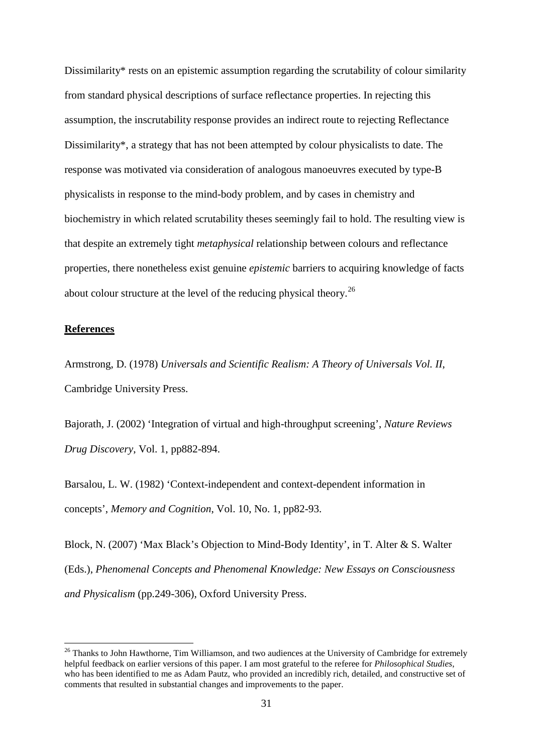Dissimilarity<sup>\*</sup> rests on an epistemic assumption regarding the scrutability of colour similarity from standard physical descriptions of surface reflectance properties. In rejecting this assumption, the inscrutability response provides an indirect route to rejecting Reflectance Dissimilarity\*, a strategy that has not been attempted by colour physicalists to date. The response was motivated via consideration of analogous manoeuvres executed by type-B physicalists in response to the mind-body problem, and by cases in chemistry and biochemistry in which related scrutability theses seemingly fail to hold. The resulting view is that despite an extremely tight *metaphysical* relationship between colours and reflectance properties, there nonetheless exist genuine *epistemic* barriers to acquiring knowledge of facts about colour structure at the level of the reducing physical theory.<sup>[26](#page-31-0)</sup>

### **References**

<u>.</u>

Armstrong, D. (1978) *Universals and Scientific Realism: A Theory of Universals Vol. II*, Cambridge University Press.

Bajorath, J. (2002) 'Integration of virtual and high-throughput screening', *Nature Reviews Drug Discovery*, Vol. 1, pp882-894.

Barsalou, L. W. (1982) 'Context-independent and context-dependent information in concepts', *Memory and Cognition*, Vol. 10, No. 1, pp82-93.

Block, N. (2007) 'Max Black's Objection to Mind-Body Identity', in T. Alter & S. Walter (Eds.), *Phenomenal Concepts and Phenomenal Knowledge: New Essays on Consciousness and Physicalism* (pp.249-306), Oxford University Press.

<span id="page-31-0"></span><sup>&</sup>lt;sup>26</sup> Thanks to John Hawthorne, Tim Williamson, and two audiences at the University of Cambridge for extremely helpful feedback on earlier versions of this paper. I am most grateful to the referee for *Philosophical Studies*, who has been identified to me as Adam Pautz, who provided an incredibly rich, detailed, and constructive set of comments that resulted in substantial changes and improvements to the paper.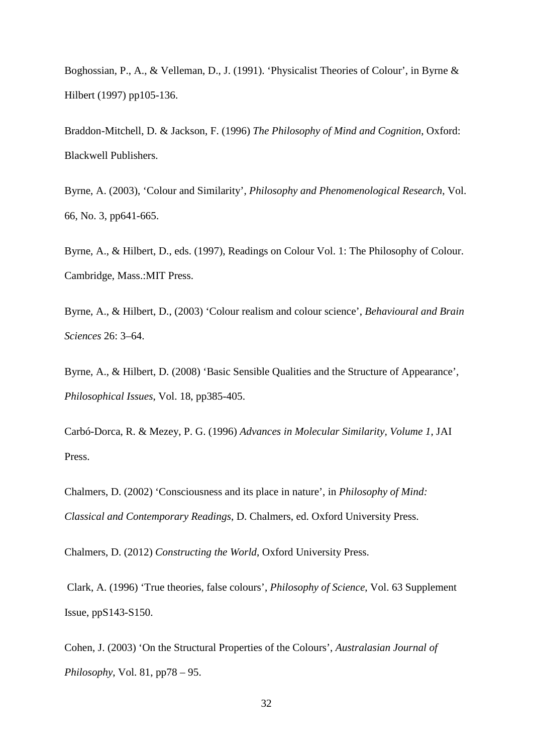Boghossian, P., A., & Velleman, D., J. (1991). 'Physicalist Theories of Colour', in Byrne & Hilbert (1997) pp105-136.

Braddon-Mitchell, D. & Jackson, F. (1996) *The Philosophy of Mind and Cognition*, Oxford: Blackwell Publishers.

Byrne, A. (2003), 'Colour and Similarity', *Philosophy and Phenomenological Research*, Vol. 66, No. 3, pp641-665.

Byrne, A., & Hilbert, D., eds. (1997), Readings on Colour Vol. 1: The Philosophy of Colour. Cambridge, Mass.:MIT Press.

Byrne, A., & Hilbert, D., (2003) 'Colour realism and colour science', *Behavioural and Brain Sciences* 26: 3–64.

Byrne, A., & Hilbert, D. (2008) 'Basic Sensible Qualities and the Structure of Appearance', *Philosophical Issues*, Vol. 18, pp385-405.

Carbó-Dorca, R. & Mezey, P. G. (1996) *Advances in Molecular Similarity, Volume 1*, JAI Press.

Chalmers, D. (2002) 'Consciousness and its place in nature', in *Philosophy of Mind: Classical and Contemporary Readings*, D. Chalmers, ed. Oxford University Press.

Chalmers, D. (2012) *Constructing the World*, Oxford University Press.

Clark, A. (1996) 'True theories, false colours', *Philosophy of Science*, Vol. 63 Supplement Issue, ppS143-S150.

Cohen, J. (2003) 'On the Structural Properties of the Colours', *Australasian Journal of Philosophy*, Vol. 81, pp78 – 95.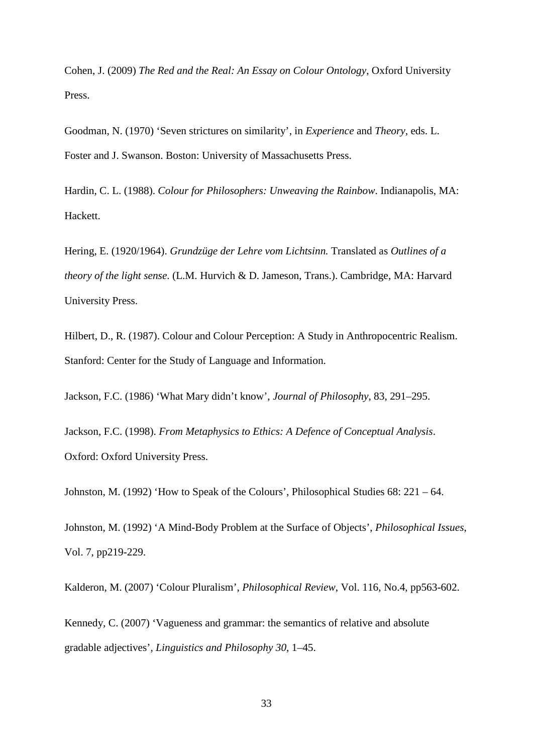Cohen, J. (2009) *The Red and the Real: An Essay on Colour Ontology*, Oxford University Press.

Goodman, N. (1970) 'Seven strictures on similarity', in *Experience* and *Theory,* eds. L. Foster and J. Swanson. Boston: University of Massachusetts Press.

Hardin, C. L. (1988). *Colour for Philosophers: Unweaving the Rainbow*. Indianapolis, MA: Hackett.

Hering, E. (1920/1964). *Grundzüge der Lehre vom Lichtsinn.* Translated as *Outlines of a theory of the light sense*. (L.M. Hurvich & D. Jameson, Trans.). Cambridge, MA: Harvard University Press.

Hilbert, D., R. (1987). Colour and Colour Perception: A Study in Anthropocentric Realism. Stanford: Center for the Study of Language and Information.

Jackson, F.C. (1986) 'What Mary didn't know', *Journal of Philosophy*, 83, 291–295.

Jackson, F.C. (1998). *From Metaphysics to Ethics: A Defence of Conceptual Analysis*. Oxford: Oxford University Press.

Johnston, M. (1992) 'How to Speak of the Colours', Philosophical Studies 68: 221 – 64.

Johnston, M. (1992) 'A Mind-Body Problem at the Surface of Objects', *Philosophical Issues*, Vol. 7, pp219-229.

Kalderon, M. (2007) 'Colour Pluralism', *Philosophical Review*, Vol. 116, No.4, pp563-602.

Kennedy, C. (2007) 'Vagueness and grammar: the semantics of relative and absolute gradable adjectives', *Linguistics and Philosophy 30*, 1–45.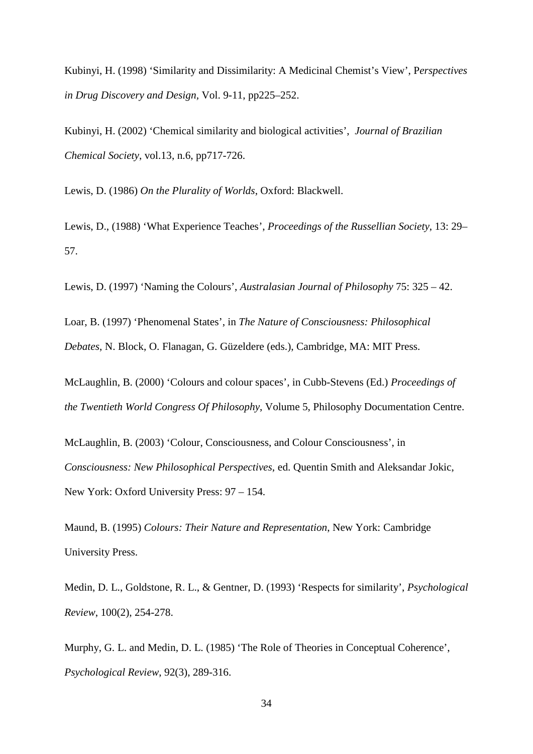Kubinyi, H. (1998) 'Similarity and Dissimilarity: A Medicinal Chemist's View', P*erspectives in Drug Discovery and Design,* Vol. 9-11, pp225–252.

Kubinyi, H. (2002) 'Chemical similarity and biological activities', *Journal of Brazilian Chemical Society*, vol.13, n.6, pp717-726.

Lewis, D. (1986) *On the Plurality of Worlds*, Oxford: Blackwell.

Lewis, D., (1988) 'What Experience Teaches', *Proceedings of the Russellian Society*, 13: 29– 57.

Lewis, D. (1997) 'Naming the Colours', *Australasian Journal of Philosophy* 75: 325 – 42.

Loar, B. (1997) 'Phenomenal States', in *The Nature of Consciousness: Philosophical Debates*, N. Block, O. Flanagan, G. Güzeldere (eds.), Cambridge, MA: MIT Press.

McLaughlin, B. (2000) 'Colours and colour spaces', in Cubb-Stevens (Ed.) *Proceedings of the Twentieth World Congress Of Philosophy*, Volume 5, Philosophy Documentation Centre.

McLaughlin, B. (2003) 'Colour, Consciousness, and Colour Consciousness', in *Consciousness: New Philosophical Perspectives*, ed. Quentin Smith and Aleksandar Jokic, New York: Oxford University Press: 97 – 154.

Maund, B. (1995) *Colours: Their Nature and Representation*, New York: Cambridge University Press.

Medin, D. L., Goldstone, R. L., & Gentner, D. (1993) 'Respects for similarity', *Psychological Review*, 100(2), 254-278.

Murphy, G. L. and Medin, D. L. (1985) 'The Role of Theories in Conceptual Coherence', *Psychological Review*, 92(3), 289-316.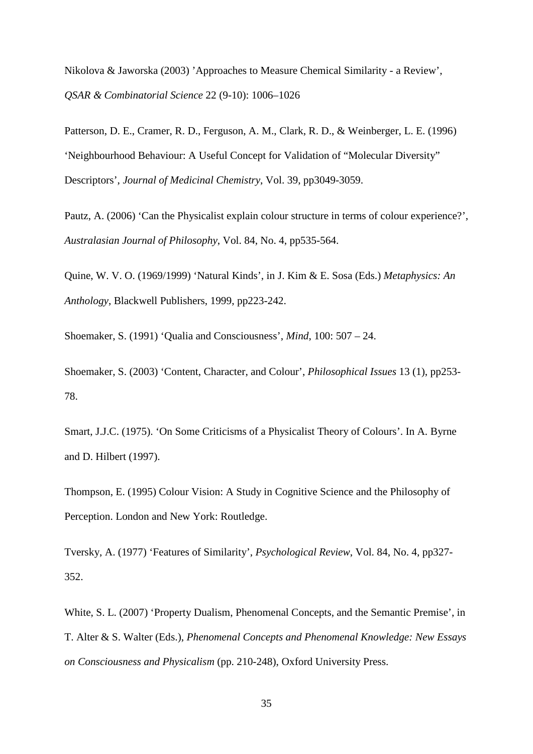Nikolova & Jaworska (2003) 'Approaches to Measure Chemical Similarity - a Review', *QSAR & Combinatorial Science* 22 (9-10): 1006–1026

Patterson, D. E., Cramer, R. D., Ferguson, A. M., Clark, R. D., & Weinberger, L. E. (1996) 'Neighbourhood Behaviour: A Useful Concept for Validation of "Molecular Diversity" Descriptors', *Journal of Medicinal Chemistry*, Vol. 39, pp3049-3059.

Pautz, A. (2006) 'Can the Physicalist explain colour structure in terms of colour experience?', *Australasian Journal of Philosophy*, Vol. 84, No. 4, pp535-564.

Quine, W. V. O. (1969/1999) 'Natural Kinds', in J. Kim & E. Sosa (Eds.) *Metaphysics: An Anthology*, Blackwell Publishers, 1999, pp223-242.

Shoemaker, S. (1991) 'Qualia and Consciousness', *Mind*, 100: 507 – 24.

Shoemaker, S. (2003) 'Content, Character, and Colour', *Philosophical Issues* 13 (1), pp253- 78.

Smart, J.J.C. (1975). 'On Some Criticisms of a Physicalist Theory of Colours'. In A. Byrne and D. Hilbert (1997).

Thompson, E. (1995) Colour Vision: A Study in Cognitive Science and the Philosophy of Perception. London and New York: Routledge.

Tversky, A. (1977) 'Features of Similarity', *Psychological Review*, Vol. 84, No. 4, pp327- 352.

White, S. L. (2007) 'Property Dualism, Phenomenal Concepts, and the Semantic Premise', in T. Alter & S. Walter (Eds.), *Phenomenal Concepts and Phenomenal Knowledge: New Essays on Consciousness and Physicalism* (pp. 210-248), Oxford University Press.